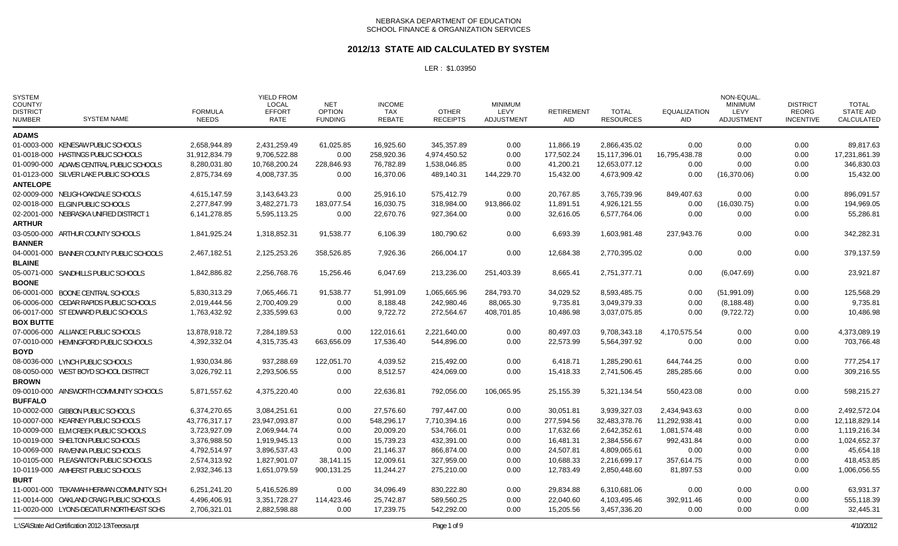### **2012/13 STATE AID CALCULATED BY SYSTEM**

| <b>SYSTEM</b><br>COUNTY/<br><b>DISTRICT</b><br><b>NUMBER</b> | <b>SYSTEM NAME</b>                       | <b>FORMULA</b><br><b>NEEDS</b> | <b>YIELD FROM</b><br><b>LOCAL</b><br><b>EFFORT</b><br><b>RATE</b> | NET<br><b>OPTION</b><br><b>FUNDING</b> | <b>INCOME</b><br>TAX<br><b>REBATE</b> | <b>OTHER</b><br><b>RECEIPTS</b> | <b>MINIMUM</b><br>LEVY<br><b>ADJUSTMENT</b> | <b>RETIREMENT</b><br><b>AID</b> | <b>TOTAL</b><br><b>RESOURCES</b> | <b>EQUALIZATION</b><br><b>AID</b> | NON-EQUAL<br><b>MINIMUM</b><br>LEVY<br><b>ADJUSTMENT</b> | <b>DISTRICT</b><br><b>REORG</b><br><b>INCENTIVE</b> | <b>TOTAL</b><br><b>STATE AID</b><br>CALCULATED |
|--------------------------------------------------------------|------------------------------------------|--------------------------------|-------------------------------------------------------------------|----------------------------------------|---------------------------------------|---------------------------------|---------------------------------------------|---------------------------------|----------------------------------|-----------------------------------|----------------------------------------------------------|-----------------------------------------------------|------------------------------------------------|
| <b>ADAMS</b>                                                 |                                          |                                |                                                                   |                                        |                                       |                                 |                                             |                                 |                                  |                                   |                                                          |                                                     |                                                |
|                                                              | 01-0003-000 KENESAW PUBLIC SCHOOLS       | 2,658,944.89                   | 2,431,259.49                                                      | 61,025.85                              | 16.925.60                             | 345.357.89                      | 0.00                                        | 11,866.19                       | 2.866.435.02                     | 0.00                              | 0.00                                                     | 0.00                                                | 89,817.63                                      |
|                                                              | 01-0018-000 HASTINGS PUBLIC SCHOOLS      | 31,912,834.79                  | 9,706,522.88                                                      | 0.00                                   | 258,920.36                            | 4,974,450.52                    | 0.00                                        | 177,502.24                      | 15,117,396.01                    | 16,795,438.78                     | 0.00                                                     | 0.00                                                | 17,231,861.39                                  |
|                                                              | 01-0090-000 ADAMS CENTRAL PUBLIC SCHOOLS | 8.280.031.80                   | 10,768,200.24                                                     | 228,846.93                             | 76.782.89                             | 1,538,046.85                    | 0.00                                        | 41,200.21                       | 12.653.077.12                    | 0.00                              | 0.00                                                     | 0.00                                                | 346,830.03                                     |
|                                                              | 01-0123-000 SILVER LAKE PUBLIC SCHOOLS   | 2,875,734.69                   | 4,008,737.35                                                      | 0.00                                   | 16,370.06                             | 489,140.31                      | 144,229.70                                  | 15,432.00                       | 4,673,909.42                     | 0.00                              | (16, 370.06)                                             | 0.00                                                | 15,432.00                                      |
| <b>ANTELOPE</b>                                              |                                          |                                |                                                                   |                                        |                                       |                                 |                                             |                                 |                                  |                                   |                                                          |                                                     |                                                |
|                                                              | 02-0009-000 NELIGH-OAKDALE SCHOOLS       | 4,615,147.59                   | 3,143,643.23                                                      | 0.00                                   | 25,916.10                             | 575,412.79                      | 0.00                                        | 20,767.85                       | 3,765,739.96                     | 849,407.63                        | 0.00                                                     | 0.00                                                | 896,091.57                                     |
|                                                              | 02-0018-000 ELGIN PUBLIC SCHOOLS         | 2,277,847.99                   | 3,482,271.73                                                      | 183,077.54                             | 16,030.75                             | 318,984.00                      | 913,866.02                                  | 11,891.51                       | 4,926,121.55                     | 0.00                              | (16,030.75)                                              | 0.00                                                | 194,969.05                                     |
|                                                              | 02-2001-000 NEBRASKA UNIFIED DISTRICT 1  | 6,141,278.85                   | 5,595,113.25                                                      | 0.00                                   | 22,670.76                             | 927,364.00                      | 0.00                                        | 32,616.05                       | 6,577,764.06                     | 0.00                              | 0.00                                                     | 0.00                                                | 55,286.81                                      |
| <b>ARTHUR</b>                                                |                                          |                                |                                                                   |                                        |                                       |                                 |                                             |                                 |                                  |                                   |                                                          |                                                     |                                                |
|                                                              | 03-0500-000 ARTHUR COUNTY SCHOOLS        | 1,841,925.24                   | 1,318,852.31                                                      | 91,538.77                              | 6,106.39                              | 180,790.62                      | 0.00                                        | 6,693.39                        | 1,603,981.48                     | 237,943.76                        | 0.00                                                     | 0.00                                                | 342,282.31                                     |
| <b>BANNER</b>                                                |                                          |                                |                                                                   |                                        |                                       |                                 |                                             |                                 |                                  |                                   |                                                          |                                                     |                                                |
|                                                              | 04-0001-000 BANNER COUNTY PUBLIC SCHOOLS | 2.467.182.51                   | 2,125,253.26                                                      | 358.526.85                             | 7,926.36                              | 266.004.17                      | 0.00                                        | 12.684.38                       | 2.770.395.02                     | 0.00                              | 0.00                                                     | 0.00                                                | 379,137.59                                     |
| <b>BLAINE</b>                                                |                                          |                                |                                                                   |                                        |                                       |                                 |                                             |                                 |                                  |                                   |                                                          |                                                     |                                                |
|                                                              | 05-0071-000 SANDHILLS PUBLIC SCHOOLS     | 1,842,886.82                   | 2,256,768.76                                                      | 15,256.46                              | 6,047.69                              | 213,236.00                      | 251,403.39                                  | 8,665.41                        | 2,751,377.71                     | 0.00                              | (6,047.69)                                               | 0.00                                                | 23,921.87                                      |
| <b>BOONE</b>                                                 |                                          |                                |                                                                   |                                        |                                       |                                 |                                             |                                 |                                  |                                   |                                                          |                                                     |                                                |
|                                                              | 06-0001-000 BOONE CENTRAL SCHOOLS        | 5,830,313.29                   | 7,065,466.71                                                      | 91,538.77                              | 51,991.09                             | 1,065,665.96                    | 284,793.70                                  | 34,029.52                       | 8,593,485.75                     | 0.00                              | (51, 991.09)                                             | 0.00                                                | 125,568.29                                     |
|                                                              | 06-0006-000 CEDAR RAPIDS PUBLIC SCHOOLS  | 2,019,444.56                   | 2,700,409.29                                                      | 0.00                                   | 8,188.48                              | 242,980.46                      | 88,065.30                                   | 9,735.81                        | 3,049,379.33                     | 0.00                              | (8, 188.48)                                              | 0.00                                                | 9,735.81                                       |
|                                                              | 06-0017-000 ST EDWARD PUBLIC SCHOOLS     | 1,763,432.92                   | 2,335,599.63                                                      | 0.00                                   | 9,722.72                              | 272,564.67                      | 408,701.85                                  | 10,486.98                       | 3,037,075.85                     | 0.00                              | (9,722.72)                                               | 0.00                                                | 10,486.98                                      |
| <b>BOX BUTTE</b>                                             |                                          |                                |                                                                   |                                        |                                       |                                 |                                             |                                 |                                  |                                   |                                                          |                                                     |                                                |
|                                                              | 07-0006-000 ALLIANCE PUBLIC SCHOOLS      | 13,878,918.72                  | 7,284,189.53                                                      | 0.00                                   | 122,016.61                            | 2,221,640.00                    | 0.00                                        | 80,497.03                       | 9,708,343.18                     | 4,170,575.54                      | 0.00                                                     | 0.00                                                | 4,373,089.19                                   |
|                                                              | 07-0010-000 HEMINGFORD PUBLIC SCHOOLS    | 4,392,332.04                   | 4,315,735.43                                                      | 663,656.09                             | 17,536.40                             | 544,896.00                      | 0.00                                        | 22,573.99                       | 5,564,397.92                     | 0.00                              | 0.00                                                     | 0.00                                                | 703,766.48                                     |
| <b>BOYD</b>                                                  |                                          |                                |                                                                   |                                        |                                       |                                 |                                             |                                 |                                  |                                   |                                                          |                                                     |                                                |
|                                                              | 08-0036-000 LYNCH PUBLIC SCHOOLS         | 1,930,034.86                   | 937,288.69                                                        | 122,051.70                             | 4,039.52                              | 215,492.00                      | 0.00                                        | 6,418.71                        | 1,285,290.61                     | 644,744.25                        | 0.00                                                     | 0.00                                                | 777,254.17                                     |
|                                                              | 08-0050-000 WEST BOYD SCHOOL DISTRICT    | 3,026,792.11                   | 2,293,506.55                                                      | 0.00                                   | 8,512.57                              | 424,069.00                      | 0.00                                        | 15,418.33                       | 2,741,506.45                     | 285,285.66                        | 0.00                                                     | 0.00                                                | 309,216.55                                     |
| <b>BROWN</b>                                                 |                                          |                                |                                                                   |                                        |                                       |                                 |                                             |                                 |                                  |                                   |                                                          |                                                     |                                                |
|                                                              | 09-0010-000 AINSWORTH COMMUNITY SCHOOLS  | 5.871.557.62                   | 4.375.220.40                                                      | 0.00                                   | 22,636.81                             | 792.056.00                      | 106,065.95                                  | 25.155.39                       | 5,321,134.54                     | 550.423.08                        | 0.00                                                     | 0.00                                                | 598,215.27                                     |
| <b>BUFFALO</b>                                               |                                          |                                |                                                                   |                                        |                                       |                                 |                                             |                                 |                                  |                                   |                                                          |                                                     |                                                |
|                                                              | 10-0002-000 GIBBON PUBLIC SCHOOLS        | 6,374,270.65                   | 3,084,251.61                                                      | 0.00                                   | 27,576.60                             | 797,447.00                      | 0.00                                        | 30,051.81                       | 3,939,327.03                     | 2,434,943.63                      | 0.00                                                     | 0.00                                                | 2,492,572.04                                   |
|                                                              | 10-0007-000 KEARNEY PUBLIC SCHOOLS       | 43,776,317.17                  | 23,947,093.87                                                     | 0.00                                   | 548,296.17                            | 7,710,394.16                    | 0.00                                        | 277,594.56                      | 32,483,378.76                    | 11,292,938.41                     | 0.00                                                     | 0.00                                                | 12,118,829.14                                  |
|                                                              | 10-0009-000 ELM CREEK PUBLIC SCHOOLS     | 3,723,927.09                   | 2.069.944.74                                                      | 0.00                                   | 20.009.20                             | 534.766.01                      | 0.00                                        | 17.632.66                       | 2.642.352.61                     | 1,081,574.48                      | 0.00                                                     | 0.00                                                | 1,119,216.34                                   |
|                                                              | 10-0019-000 SHELTON PUBLIC SCHOOLS       | 3,376,988.50                   | 1,919,945.13                                                      | 0.00                                   | 15,739.23                             | 432,391.00                      | 0.00                                        | 16,481.31                       | 2,384,556.67                     | 992,431.84                        | 0.00                                                     | 0.00                                                | 1,024,652.37                                   |
|                                                              | 10-0069-000 RAVENNA PUBLIC SCHOOLS       | 4,792,514.97                   | 3,896,537.43                                                      | 0.00                                   | 21,146.37                             | 866,874.00                      | 0.00                                        | 24,507.81                       | 4,809,065.61                     | 0.00                              | 0.00                                                     | 0.00                                                | 45,654.18                                      |
|                                                              | 10-0105-000 PLEASANTON PUBLIC SCHOOLS    | 2,574,313.92                   | 1,827,901.07                                                      | 38,141.15                              | 12,009.61                             | 327,959.00                      | 0.00                                        | 10,688.33                       | 2,216,699.17                     | 357,614.75                        | 0.00                                                     | 0.00                                                | 418,453.85                                     |
|                                                              | 10-0119-000 AMHERST PUBLIC SCHOOLS       | 2,932,346.13                   | 1,651,079.59                                                      | 900,131.25                             | 11,244.27                             | 275,210.00                      | 0.00                                        | 12,783.49                       | 2,850,448.60                     | 81,897.53                         | 0.00                                                     | 0.00                                                | 1,006,056.55                                   |
| <b>BURT</b>                                                  |                                          |                                |                                                                   |                                        |                                       |                                 |                                             |                                 |                                  |                                   |                                                          |                                                     |                                                |
|                                                              | 11-0001-000 TEKAMAH-HERMAN COMMUNITY SCH | 6,251,241.20                   | 5,416,526.89                                                      | 0.00                                   | 34,096.49                             | 830,222.80                      | 0.00                                        | 29,834.88                       | 6,310,681.06                     | 0.00                              | 0.00                                                     | 0.00                                                | 63,931.37                                      |
|                                                              | 11-0014-000 OAKLAND CRAIG PUBLIC SCHOOLS | 4,496,406.91                   | 3,351,728.27                                                      | 114,423.46                             | 25,742.87                             | 589,560.25                      | 0.00                                        | 22,040.60                       | 4,103,495.46                     | 392,911.46                        | 0.00                                                     | 0.00                                                | 555,118.39                                     |
|                                                              | 11-0020-000 LYONS-DECATUR NORTHEAST SCHS | 2,706,321.01                   | 2,882,598.88                                                      | 0.00                                   | 17,239.75                             | 542,292.00                      | 0.00                                        | 15,205.56                       | 3,457,336.20                     | 0.00                              | 0.00                                                     | 0.00                                                | 32,445.31                                      |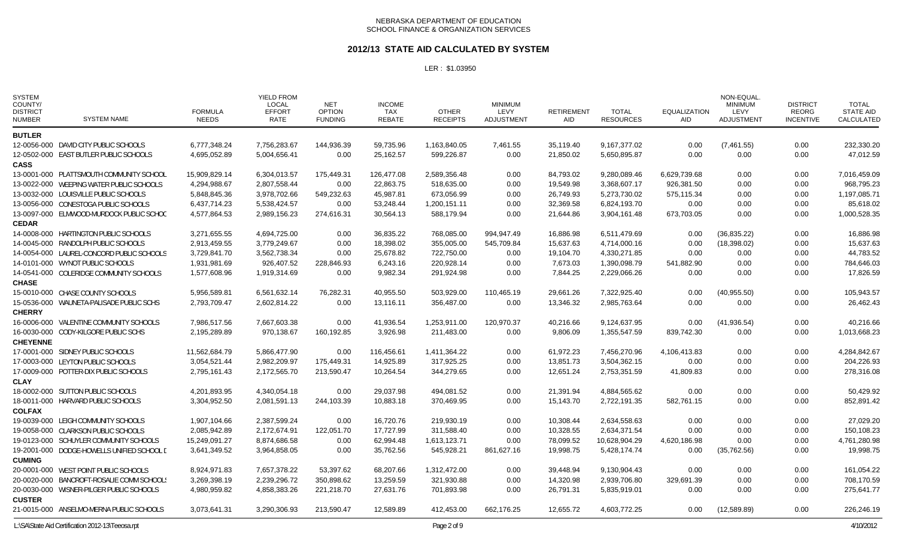### **2012/13 STATE AID CALCULATED BY SYSTEM**

| <b>SYSTEM</b><br>COUNTY/<br><b>DISTRICT</b><br><b>NUMBER</b> | <b>SYSTEM NAME</b>                         | <b>FORMULA</b><br><b>NEEDS</b> | <b>YIELD FROM</b><br><b>LOCAL</b><br><b>EFFORT</b><br><b>RATE</b> | <b>NET</b><br><b>OPTION</b><br><b>FUNDING</b> | <b>INCOME</b><br><b>TAX</b><br><b>REBATE</b> | <b>OTHER</b><br><b>RECEIPTS</b> | <b>MINIMUM</b><br>LEVY<br><b>ADJUSTMENT</b> | <b>RETIREMENT</b><br><b>AID</b> | <b>TOTAL</b><br><b>RESOURCES</b> | <b>EQUALIZATION</b><br>AID | NON-EQUAL<br><b>MINIMUM</b><br>LEVY<br><b>ADJUSTMENT</b> | <b>DISTRICT</b><br><b>REORG</b><br><b>INCENTIVE</b> | <b>TOTAL</b><br><b>STATE AID</b><br>CALCULATED |
|--------------------------------------------------------------|--------------------------------------------|--------------------------------|-------------------------------------------------------------------|-----------------------------------------------|----------------------------------------------|---------------------------------|---------------------------------------------|---------------------------------|----------------------------------|----------------------------|----------------------------------------------------------|-----------------------------------------------------|------------------------------------------------|
| <b>BUTLER</b>                                                |                                            |                                |                                                                   |                                               |                                              |                                 |                                             |                                 |                                  |                            |                                                          |                                                     |                                                |
|                                                              | 12-0056-000 DAVID CITY PUBLIC SCHOOLS      | 6,777,348.24                   | 7.756.283.67                                                      | 144,936.39                                    | 59,735.96                                    | 1,163,840.05                    | 7,461.55                                    | 35.119.40                       | 9.167.377.02                     | 0.00                       | (7,461.55)                                               | 0.00                                                | 232,330.20                                     |
|                                                              | 12-0502-000 EAST BUTLER PUBLIC SCHOOLS     | 4,695,052.89                   | 5,004,656.41                                                      | 0.00                                          | 25,162.57                                    | 599,226.87                      | 0.00                                        | 21,850.02                       | 5,650,895.87                     | 0.00                       | 0.00                                                     | 0.00                                                | 47,012.59                                      |
| <b>CASS</b>                                                  |                                            |                                |                                                                   |                                               |                                              |                                 |                                             |                                 |                                  |                            |                                                          |                                                     |                                                |
|                                                              | 13-0001-000 PLATTSMOUTH COMMUNITY SCHOOL   | 15,909,829.14                  | 6,304,013.57                                                      | 175,449.31                                    | 126,477.08                                   | 2,589,356.48                    | 0.00                                        | 84,793.02                       | 9,280,089.46                     | 6,629,739.68               | 0.00                                                     | 0.00                                                | 7,016,459.09                                   |
|                                                              | 13-0022-000 WEEPING WATER PUBLIC SCHOOLS   | 4,294,988.67                   | 2,807,558.44                                                      | 0.00                                          | 22,863.75                                    | 518,635.00                      | 0.00                                        | 19,549.98                       | 3,368,607.17                     | 926,381.50                 | 0.00                                                     | 0.00                                                | 968,795.23                                     |
|                                                              | 13-0032-000 LOUISVILLE PUBLIC SCHOOLS      | 5,848,845.36                   | 3,978,702.66                                                      | 549,232.63                                    | 45,987.81                                    | 673,056.99                      | 0.00                                        | 26,749.93                       | 5,273,730.02                     | 575,115.34                 | 0.00                                                     | 0.00                                                | 1,197,085.71                                   |
|                                                              | 13-0056-000 CONESTOGA PUBLIC SCHOOLS       | 6,437,714.23                   | 5,538,424.57                                                      | 0.00                                          | 53,248.44                                    | 1,200,151.11                    | 0.00                                        | 32,369.58                       | 6,824,193.70                     | 0.00                       | 0.00                                                     | 0.00                                                | 85,618.02                                      |
|                                                              | 13-0097-000 ELMWOOD-MURDOCK PUBLIC SCHOC   | 4,577,864.53                   | 2,989,156.23                                                      | 274,616.31                                    | 30,564.13                                    | 588,179.94                      | 0.00                                        | 21,644.86                       | 3,904,161.48                     | 673,703.05                 | 0.00                                                     | 0.00                                                | 1,000,528.35                                   |
| <b>CEDAR</b>                                                 |                                            |                                |                                                                   |                                               |                                              |                                 |                                             |                                 |                                  |                            |                                                          |                                                     |                                                |
|                                                              | 14-0008-000 HARTINGTON PUBLIC SCHOOLS      | 3,271,655.55                   | 4,694,725.00                                                      | 0.00                                          | 36,835.22                                    | 768,085.00                      | 994,947.49                                  | 16,886.98                       | 6,511,479.69                     | 0.00                       | (36, 835.22)                                             | 0.00                                                | 16,886.98                                      |
|                                                              | 14-0045-000 RANDOLPH PUBLIC SCHOOLS        | 2,913,459.55                   | 3,779,249.67                                                      | 0.00                                          | 18,398.02                                    | 355,005.00                      | 545,709.84                                  | 15,637.63                       | 4,714,000.16                     | 0.00                       | (18, 398.02)                                             | 0.00                                                | 15,637.63                                      |
|                                                              | 14-0054-000 LAUREL-CONCORD PUBLIC SCHOOLS  | 3,729,841.70                   | 3,562,738.34                                                      | 0.00                                          | 25,678.82                                    | 722,750.00                      | 0.00                                        | 19,104.70                       | 4,330,271.85                     | 0.00                       | 0.00                                                     | 0.00                                                | 44,783.52                                      |
|                                                              | 14-0101-000 WYNOT PUBLIC SCHOOLS           | 1,931,981.69                   | 926,407.52                                                        | 228,846.93                                    | 6,243.16                                     | 220,928.14                      | 0.00                                        | 7,673.03                        | 1,390,098.79                     | 541,882.90                 | 0.00                                                     | 0.00                                                | 784,646.03                                     |
|                                                              | 14-0541-000 COLERIDGE COMMUNITY SCHOOLS    | 1,577,608.96                   | 1,919,314.69                                                      | 0.00                                          | 9,982.34                                     | 291,924.98                      | 0.00                                        | 7.844.25                        | 2,229,066.26                     | 0.00                       | 0.00                                                     | 0.00                                                | 17,826.59                                      |
| <b>CHASE</b>                                                 |                                            |                                |                                                                   |                                               |                                              |                                 |                                             |                                 |                                  |                            |                                                          |                                                     |                                                |
|                                                              | 15-0010-000 CHASE COUNTY SCHOOLS           | 5,956,589.81                   | 6,561,632.14                                                      | 76,282.31                                     | 40,955.50                                    | 503,929.00                      | 110,465.19                                  | 29,661.26                       | 7,322,925.40                     | 0.00                       | (40,955.50)                                              | 0.00                                                | 105,943.57                                     |
|                                                              | 15-0536-000 WAUNETA-PALISADE PUBLIC SCHS   | 2,793,709.47                   | 2,602,814.22                                                      | 0.00                                          | 13,116.11                                    | 356,487.00                      | 0.00                                        | 13,346.32                       | 2,985,763.64                     | 0.00                       | 0.00                                                     | 0.00                                                | 26,462.43                                      |
| <b>CHERRY</b>                                                |                                            |                                |                                                                   |                                               |                                              |                                 |                                             |                                 |                                  |                            |                                                          |                                                     |                                                |
|                                                              | 16-0006-000 VALENTINE COMMUNITY SCHOOLS    | 7,986,517.56                   | 7,667,603.38                                                      | 0.00                                          | 41,936.54                                    | 1,253,911.00                    | 120,970.37                                  | 40,216.66                       | 9,124,637.95                     | 0.00                       | (41, 936.54)                                             | 0.00                                                | 40,216.66                                      |
|                                                              | 16-0030-000 CODY-KILGORE PUBLIC SCHS       | 2,195,289.89                   | 970,138.67                                                        | 160,192.85                                    | 3,926.98                                     | 211,483.00                      | 0.00                                        | 9,806.09                        | 1,355,547.59                     | 839,742.30                 | 0.00                                                     | 0.00                                                | 1,013,668.23                                   |
| <b>CHEYENNE</b>                                              |                                            |                                |                                                                   |                                               |                                              |                                 |                                             |                                 |                                  |                            |                                                          |                                                     |                                                |
|                                                              | 17-0001-000 SIDNEY PUBLIC SCHOOLS          | 11,562,684.79                  | 5,866,477.90                                                      | 0.00                                          | 116,456.61                                   | 1,411,364.22                    | 0.00                                        | 61,972.23                       | 7,456,270.96                     | 4,106,413.83               | 0.00                                                     | 0.00                                                | 4,284,842.67                                   |
|                                                              | 17-0003-000 LEYTON PUBLIC SCHOOLS          | 3,054,521.44                   | 2,982,209.97                                                      | 175,449.31                                    | 14,925.89                                    | 317,925.25                      | 0.00                                        | 13,851.73                       | 3,504,362.15                     | 0.00                       | 0.00                                                     | 0.00                                                | 204,226.93                                     |
|                                                              | 17-0009-000 POTTER-DIX PUBLIC SCHOOLS      | 2,795,161.43                   | 2,172,565.70                                                      | 213,590.47                                    | 10,264.54                                    | 344,279.65                      | 0.00                                        | 12,651.24                       | 2,753,351.59                     | 41,809.83                  | 0.00                                                     | 0.00                                                | 278,316.08                                     |
| <b>CLAY</b>                                                  |                                            |                                |                                                                   |                                               |                                              |                                 |                                             |                                 |                                  |                            |                                                          |                                                     |                                                |
|                                                              | 18-0002-000 SUTTON PUBLIC SCHOOLS          | 4,201,893.95                   | 4,340,054.18                                                      | 0.00                                          | 29,037.98                                    | 494,081.52                      | 0.00                                        | 21,391.94                       | 4,884,565.62                     | 0.00                       | 0.00                                                     | 0.00                                                | 50,429.92                                      |
|                                                              | 18-0011-000 HARVARD PUBLIC SCHOOLS         | 3,304,952.50                   | 2,081,591.13                                                      | 244,103.39                                    | 10,883.18                                    | 370,469.95                      | 0.00                                        | 15,143.70                       | 2,722,191.35                     | 582,761.15                 | 0.00                                                     | 0.00                                                | 852,891.42                                     |
| <b>COLFAX</b>                                                |                                            |                                |                                                                   |                                               |                                              |                                 |                                             |                                 |                                  |                            |                                                          |                                                     |                                                |
|                                                              | 19-0039-000 LEIGH COMMUNITY SCHOOLS        | 1,907,104.66                   | 2,387,599.24                                                      | 0.00                                          | 16,720.76                                    | 219.930.19                      | 0.00                                        | 10,308.44                       | 2,634,558.63                     | 0.00                       | 0.00                                                     | 0.00                                                | 27,029.20                                      |
|                                                              | 19-0058-000 CLARKSON PUBLIC SCHOOLS        | 2,085,942.89                   | 2,172,674.91                                                      | 122,051.70                                    | 17,727.99                                    | 311,588.40                      | 0.00                                        | 10,328.55                       | 2,634,371.54                     | 0.00                       | 0.00                                                     | 0.00                                                | 150,108.23                                     |
|                                                              | 19-0123-000 SCHUYLER COMMUNITY SCHOOLS     | 15,249,091.27                  | 8,874,686.58                                                      | 0.00                                          | 62,994.48                                    | 1,613,123.71                    | 0.00                                        | 78,099.52                       | 10,628,904.29                    | 4,620,186.98               | 0.00                                                     | 0.00                                                | 4,761,280.98                                   |
|                                                              | 19-2001-000 DODGE-HOWELLS UNIFIED SCHOOL D | 3,641,349.52                   | 3,964,858.05                                                      | 0.00                                          | 35,762.56                                    | 545,928.21                      | 861,627.16                                  | 19,998.75                       | 5,428,174.74                     | 0.00                       | (35,762.56)                                              | 0.00                                                | 19,998.75                                      |
| <b>CUMING</b>                                                |                                            |                                |                                                                   |                                               |                                              |                                 |                                             |                                 |                                  |                            |                                                          |                                                     |                                                |
|                                                              | 20-0001-000 WEST POINT PUBLIC SCHOOLS      | 8,924,971.83                   | 7,657,378.22                                                      | 53,397.62                                     | 68,207.66                                    | 1,312,472.00                    | 0.00                                        | 39,448.94                       | 9,130,904.43                     | 0.00                       | 0.00                                                     | 0.00                                                | 161,054.22                                     |
|                                                              | 20-0020-000 BANCROFT-ROSALIE COMM SCHOOLS  | 3,269,398.19                   | 2,239,296.72                                                      | 350,898.62                                    | 13,259.59                                    | 321,930.88                      | 0.00                                        | 14,320.98                       | 2,939,706.80                     | 329,691.39                 | 0.00                                                     | 0.00                                                | 708,170.59                                     |
|                                                              | 20-0030-000 WISNER-PILGER PUBLIC SCHOOLS   | 4,980,959.82                   | 4,858,383.26                                                      | 221,218.70                                    | 27,631.76                                    | 701,893.98                      | 0.00                                        | 26,791.31                       | 5,835,919.01                     | 0.00                       | 0.00                                                     | 0.00                                                | 275,641.77                                     |
| <b>CUSTER</b>                                                |                                            |                                |                                                                   |                                               |                                              |                                 |                                             |                                 |                                  |                            |                                                          |                                                     |                                                |
|                                                              | 21-0015-000 ANSELMO-MERNA PUBLIC SCHOOLS   | 3,073,641.31                   | 3,290,306.93                                                      | 213,590.47                                    | 12,589.89                                    | 412,453.00                      | 662,176.25                                  | 12,655.72                       | 4,603,772.25                     | 0.00                       | (12,589.89)                                              | 0.00                                                | 226,246.19                                     |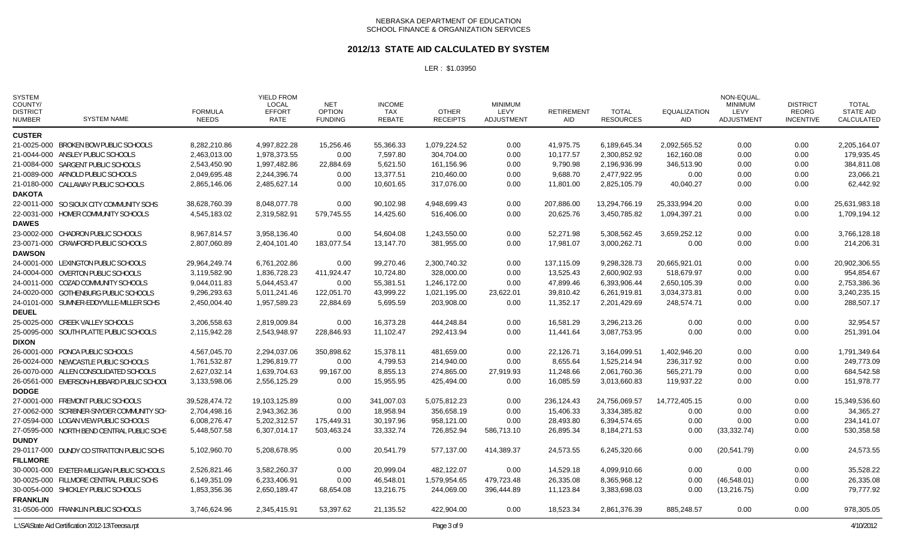### **2012/13 STATE AID CALCULATED BY SYSTEM**

| <b>SYSTEM</b><br>COUNTY/<br><b>DISTRICT</b><br><b>NUMBER</b> | <b>SYSTEM NAME</b>                               | <b>FORMULA</b><br><b>NEEDS</b> | <b>YIELD FROM</b><br><b>LOCAL</b><br><b>EFFORT</b><br>RATE | <b>NET</b><br><b>OPTION</b><br><b>FUNDING</b> | <b>INCOME</b><br>TAX<br><b>REBATE</b> | <b>OTHER</b><br><b>RECEIPTS</b> | <b>MINIMUM</b><br>LEVY<br>ADJUSTMENT | <b>RETIREMENT</b><br>AID | TOTAL<br><b>RESOURCES</b> | <b>EQUALIZATION</b><br><b>AID</b> | NON-EQUAL<br><b>MINIMUM</b><br>LEVY<br>ADJUSTMENT | <b>DISTRICT</b><br><b>REORG</b><br><b>INCENTIVE</b> | <b>TOTAL</b><br><b>STATE AID</b><br>CALCULATED |
|--------------------------------------------------------------|--------------------------------------------------|--------------------------------|------------------------------------------------------------|-----------------------------------------------|---------------------------------------|---------------------------------|--------------------------------------|--------------------------|---------------------------|-----------------------------------|---------------------------------------------------|-----------------------------------------------------|------------------------------------------------|
| <b>CUSTER</b>                                                |                                                  |                                |                                                            |                                               |                                       |                                 |                                      |                          |                           |                                   |                                                   |                                                     |                                                |
|                                                              | 21-0025-000 BROKEN BOW PUBLIC SCHOOLS            | 8,282,210.86                   | 4,997,822.28                                               | 15,256.46                                     | 55,366.33                             | 1,079,224.52                    | 0.00                                 | 41,975.75                | 6,189,645.34              | 2,092,565.52                      | 0.00                                              | 0.00                                                | 2,205,164.07                                   |
|                                                              | 21-0044-000 ANSLEY PUBLIC SCHOOLS                | 2,463,013.00                   | 1,978,373.55                                               | 0.00                                          | 7,597.80                              | 304,704.00                      | 0.00                                 | 10,177.57                | 2,300,852.92              | 162,160.08                        | 0.00                                              | 0.00                                                | 179,935.45                                     |
|                                                              | 21-0084-000 SARGENT PUBLIC SCHOOLS               | 2,543,450.90                   | 1,997,482.86                                               | 22,884.69                                     | 5,621.50                              | 161,156.96                      | 0.00                                 | 9,790.98                 | 2,196,936.99              | 346,513.90                        | 0.00                                              | 0.00                                                | 384,811.08                                     |
|                                                              | 21-0089-000 ARNOLD PUBLIC SCHOOLS                | 2,049,695.48                   | 2,244,396.74                                               | 0.00                                          | 13,377.51                             | 210,460.00                      | 0.00                                 | 9,688.70                 | 2,477,922.95              | 0.00                              | 0.00                                              | 0.00                                                | 23,066.21                                      |
|                                                              | 21-0180-000 CALLAWAY PUBLIC SCHOOLS              | 2,865,146.06                   | 2,485,627.14                                               | 0.00                                          | 10,601.65                             | 317,076.00                      | 0.00                                 | 11,801.00                | 2,825,105.79              | 40,040.27                         | 0.00                                              | 0.00                                                | 62,442.92                                      |
| <b>DAKOTA</b>                                                |                                                  |                                |                                                            |                                               |                                       |                                 |                                      |                          |                           |                                   |                                                   |                                                     |                                                |
|                                                              | 22-0011-000 SO SIOUX CITY COMMUNITY SCHS         | 38,628,760.39                  | 8,048,077.78                                               | 0.00                                          | 90,102.98                             | 4,948,699.43                    | 0.00                                 | 207,886.00               | 13,294,766.19             | 25,333,994.20                     | 0.00                                              | 0.00                                                | 25,631,983.18                                  |
|                                                              | 22-0031-000 HOMER COMMUNITY SCHOOLS              | 4,545,183.02                   | 2,319,582.91                                               | 579,745.55                                    | 14,425.60                             | 516,406.00                      | 0.00                                 | 20,625.76                | 3,450,785.82              | 1,094,397.21                      | 0.00                                              | 0.00                                                | 1,709,194.12                                   |
| <b>DAWES</b>                                                 |                                                  |                                |                                                            |                                               |                                       |                                 |                                      |                          |                           |                                   |                                                   |                                                     |                                                |
|                                                              | 23-0002-000 CHADRON PUBLIC SCHOOLS               | 8,967,814.57                   | 3,958,136.40                                               | 0.00                                          | 54,604.08                             | 1,243,550.00                    | 0.00                                 | 52,271.98                | 5,308,562.45              | 3,659,252.12                      | 0.00                                              | 0.00                                                | 3,766,128.18                                   |
|                                                              | 23-0071-000 CRAWFORD PUBLIC SCHOOLS              | 2,807,060.89                   | 2,404,101.40                                               | 183,077.54                                    | 13,147.70                             | 381,955.00                      | 0.00                                 | 17,981.07                | 3,000,262.71              | 0.00                              | 0.00                                              | 0.00                                                | 214,206.31                                     |
| <b>DAWSON</b>                                                |                                                  |                                |                                                            |                                               |                                       |                                 |                                      |                          |                           |                                   |                                                   |                                                     |                                                |
|                                                              | 24-0001-000 LEXINGTON PUBLIC SCHOOLS             | 29.964.249.74                  | 6,761,202.86                                               | 0.00                                          | 99.270.46                             | 2.300.740.32                    | 0.00                                 | 137.115.09               | 9.298.328.73              | 20.665.921.01                     | 0.00                                              | 0.00                                                | 20.902.306.55                                  |
|                                                              | 24-0004-000 OVERTON PUBLIC SCHOOLS               | 3,119,582.90                   | 1,836,728.23                                               | 411,924.47                                    | 10,724.80                             | 328,000.00                      | 0.00                                 | 13,525.43                | 2,600,902.93              | 518,679.97                        | 0.00                                              | 0.00                                                | 954,854.67                                     |
|                                                              | 24-0011-000 COZAD COMMUNITY SCHOOLS              | 9,044,011.83                   | 5,044,453.47                                               | 0.00                                          | 55,381.51                             | 1,246,172.00                    | 0.00                                 | 47,899.46                | 6,393,906.44              | 2,650,105.39                      | 0.00                                              | 0.00                                                | 2,753,386.36                                   |
|                                                              | 24-0020-000 GOTHENBURG PUBLIC SCHOOLS            | 9,296,293.63                   | 5,011,241.46                                               | 122,051.70                                    | 43,999.22                             | 1,021,195.00                    | 23,622.01                            | 39,810.42                | 6,261,919.81              | 3,034,373.81                      | 0.00                                              | 0.00                                                | 3,240,235.15                                   |
|                                                              | 24-0101-000 SUMNER-EDDYVILLE-MILLER SCHS         | 2,450,004.40                   | 1,957,589.23                                               | 22,884.69                                     | 5,695.59                              | 203,908.00                      | 0.00                                 | 11,352.17                | 2,201,429.69              | 248,574.71                        | 0.00                                              | 0.00                                                | 288,507.17                                     |
| <b>DEUEL</b>                                                 |                                                  |                                |                                                            |                                               |                                       |                                 |                                      |                          |                           |                                   |                                                   |                                                     |                                                |
|                                                              | 25-0025-000 CREEK VALLEY SCHOOLS                 | 3,206,558.63                   | 2.819.009.84                                               | 0.00                                          | 16,373.28                             | 444,248.84                      | 0.00                                 | 16,581.29                | 3.296.213.26              | 0.00                              | 0.00                                              | 0.00                                                | 32,954.57                                      |
|                                                              | 25-0095-000 SOUTH PLATTE PUBLIC SCHOOLS          | 2,115,942.28                   | 2,543,948.97                                               | 228,846.93                                    | 11,102.47                             | 292,413.94                      | 0.00                                 | 11,441.64                | 3,087,753.95              | 0.00                              | 0.00                                              | 0.00                                                | 251,391.04                                     |
| <b>DIXON</b>                                                 |                                                  |                                |                                                            |                                               |                                       |                                 |                                      |                          |                           |                                   |                                                   |                                                     |                                                |
|                                                              | 26-0001-000 PONCA PUBLIC SCHOOLS                 | 4,567,045.70                   | 2,294,037.06                                               | 350,898.62                                    | 15,378.11                             | 481,659.00                      | 0.00                                 | 22,126.71                | 3,164,099.51              | 1,402,946.20                      | 0.00                                              | 0.00                                                | 1,791,349.64                                   |
|                                                              | 26-0024-000 NEWCASTLE PUBLIC SCHOOLS             | 1,761,532.87                   | 1,296,819.77                                               | 0.00                                          | 4,799.53                              | 214,940.00                      | 0.00                                 | 8,655.64                 | 1,525,214.94              | 236,317.92                        | 0.00                                              | 0.00                                                | 249,773.09                                     |
|                                                              | 26-0070-000 ALLEN CONSOLIDATED SCHOOLS           | 2,627,032.14                   | 1,639,704.63                                               | 99,167.00                                     | 8,855.13                              | 274,865.00                      | 27,919.93                            | 11,248.66                | 2,061,760.36              | 565,271.79                        | 0.00                                              | 0.00                                                | 684,542.58                                     |
| <b>DODGE</b>                                                 | 26-0561-000 EMERSON-HUBBARD PUBLIC SCHOOL        | 3,133,598.06                   | 2,556,125.29                                               | 0.00                                          | 15,955.95                             | 425,494.00                      | 0.00                                 | 16,085.59                | 3,013,660.83              | 119,937.22                        | 0.00                                              | 0.00                                                | 151,978.77                                     |
|                                                              | 27-0001-000 FREMONT PUBLIC SCHOOLS               | 39,528,474.72                  | 19,103,125.89                                              | 0.00                                          | 341,007.03                            | 5,075,812.23                    | 0.00                                 | 236,124.43               | 24,756,069.57             | 14,772,405.15                     | 0.00                                              | 0.00                                                | 15,349,536.60                                  |
|                                                              | 27-0062-000 SCRIBNER-SNYDER COMMUNITY SCH        | 2,704,498.16                   | 2,943,362.36                                               | 0.00                                          | 18,958.94                             | 356,658.19                      | 0.00                                 | 15,406.33                | 3,334,385.82              | 0.00                              | 0.00                                              | 0.00                                                | 34,365.27                                      |
|                                                              | 27-0594-000 LOGAN VIEW PUBLIC SCHOOLS            | 6,008,276.47                   | 5,202,312.57                                               | 175,449.31                                    | 30,197.96                             | 958,121.00                      | 0.00                                 | 28,493.80                | 6,394,574.65              | 0.00                              | 0.00                                              | 0.00                                                | 234,141.07                                     |
|                                                              | 27-0595-000 NORTH BEND CENTRAL PUBLIC SCHS       | 5,448,507.58                   | 6,307,014.17                                               | 503,463.24                                    | 33,332.74                             | 726,852.94                      | 586,713.10                           | 26,895.34                | 8,184,271.53              | 0.00                              | (33, 332.74)                                      | 0.00                                                | 530,358.58                                     |
| <b>DUNDY</b>                                                 |                                                  |                                |                                                            |                                               |                                       |                                 |                                      |                          |                           |                                   |                                                   |                                                     |                                                |
|                                                              | 29-0117-000 DUNDY CO STRATTON PUBLIC SCHS        | 5,102,960.70                   | 5,208,678.95                                               | 0.00                                          | 20,541.79                             | 577,137.00                      | 414,389.37                           | 24,573.55                | 6,245,320.66              | 0.00                              | (20, 541.79)                                      | 0.00                                                | 24,573.55                                      |
| <b>FILLMORE</b>                                              |                                                  |                                |                                                            |                                               |                                       |                                 |                                      |                          |                           |                                   |                                                   |                                                     |                                                |
|                                                              | 30-0001-000 EXETER-MILLIGAN PUBLIC SCHOOLS       | 2,526,821.46                   | 3,582,260.37                                               | 0.00                                          | 20,999.04                             | 482,122.07                      | 0.00                                 | 14,529.18                | 4,099,910.66              | 0.00                              | 0.00                                              | 0.00                                                | 35,528.22                                      |
|                                                              | 30-0025-000 FILLMORE CENTRAL PUBLIC SCHS         | 6,149,351.09                   | 6,233,406.91                                               | 0.00                                          | 46,548.01                             | 1,579,954.65                    | 479,723.48                           | 26,335.08                | 8,365,968.12              | 0.00                              | (46, 548.01)                                      | 0.00                                                | 26,335.08                                      |
|                                                              | 30-0054-000 SHICKLEY PUBLIC SCHOOLS              | 1,853,356.36                   | 2,650,189.47                                               | 68,654.08                                     | 13,216.75                             | 244,069.00                      | 396,444.89                           | 11,123.84                | 3,383,698.03              | 0.00                              | (13, 216.75)                                      | 0.00                                                | 79,777.92                                      |
| <b>FRANKLIN</b>                                              |                                                  |                                |                                                            |                                               |                                       |                                 |                                      |                          |                           |                                   |                                                   |                                                     |                                                |
|                                                              | 31-0506-000 FRANKLIN PUBLIC SCHOOLS              | 3,746,624.96                   | 2,345,415.91                                               | 53,397.62                                     | 21,135.52                             | 422,904.00                      | 0.00                                 | 18,523.34                | 2,861,376.39              | 885,248.57                        | 0.00                                              | 0.00                                                | 978,305.05                                     |
|                                                              | L:\SA\State Aid Certification 2012-13\Teeosa.rpt |                                |                                                            |                                               |                                       | Page 3 of 9                     |                                      |                          |                           |                                   |                                                   |                                                     | 4/10/2012                                      |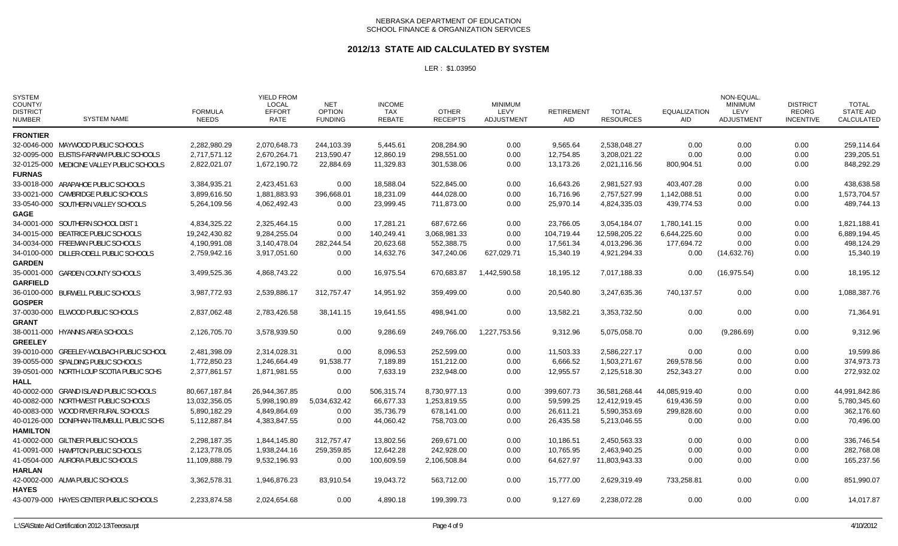### **2012/13 STATE AID CALCULATED BY SYSTEM**

| <b>SYSTEM</b><br>COUNTY/<br><b>DISTRICT</b><br><b>NUMBER</b> | <b>SYSTEM NAME</b>                         | <b>FORMULA</b><br><b>NEEDS</b> | <b>YIELD FROM</b><br><b>LOCAL</b><br><b>EFFORT</b><br>RATE | <b>NET</b><br><b>OPTION</b><br><b>FUNDING</b> | <b>INCOME</b><br>TAX<br>REBATE | <b>OTHER</b><br><b>RECEIPTS</b> | <b>MINIMUM</b><br>LEVY<br><b>ADJUSTMENT</b> | <b>RETIREMENT</b><br>AID | <b>TOTAL</b><br><b>RESOURCES</b> | <b>EQUALIZATION</b><br>AID | NON-EQUAL<br><b>MINIMUM</b><br>LEVY<br><b>ADJUSTMENT</b> | <b>DISTRICT</b><br><b>REORG</b><br><b>INCENTIVE</b> | <b>TOTAL</b><br><b>STATE AID</b><br>CALCULATED |
|--------------------------------------------------------------|--------------------------------------------|--------------------------------|------------------------------------------------------------|-----------------------------------------------|--------------------------------|---------------------------------|---------------------------------------------|--------------------------|----------------------------------|----------------------------|----------------------------------------------------------|-----------------------------------------------------|------------------------------------------------|
| <b>FRONTIER</b>                                              |                                            |                                |                                                            |                                               |                                |                                 |                                             |                          |                                  |                            |                                                          |                                                     |                                                |
|                                                              | 32-0046-000 MAYWOOD PUBLIC SCHOOLS         | 2,282,980.29                   | 2,070,648.73                                               | 244,103.39                                    | 5,445.61                       | 208,284.90                      | 0.00                                        | 9,565.64                 | 2,538,048.27                     | 0.00                       | 0.00                                                     | 0.00                                                | 259,114.64                                     |
|                                                              | 32-0095-000 EUSTIS-FARNAM PUBLIC SCHOOLS   | 2,717,571.12                   | 2,670,264.71                                               | 213,590.47                                    | 12,860.19                      | 298,551.00                      | 0.00                                        | 12,754.85                | 3,208,021.22                     | 0.00                       | 0.00                                                     | 0.00                                                | 239,205.51                                     |
|                                                              | 32-0125-000 MEDICINE VALLEY PUBLIC SCHOOLS | 2,822,021.07                   | 1,672,190.72                                               | 22,884.69                                     | 11,329.83                      | 301,538.06                      | 0.00                                        | 13,173.26                | 2,021,116.56                     | 800,904.51                 | 0.00                                                     | 0.00                                                | 848,292.29                                     |
| <b>FURNAS</b>                                                |                                            |                                |                                                            |                                               |                                |                                 |                                             |                          |                                  |                            |                                                          |                                                     |                                                |
|                                                              | 33-0018-000 ARAPAHOE PUBLIC SCHOOLS        | 3,384,935.21                   | 2,423,451.63                                               | 0.00                                          | 18.588.04                      | 522.845.00                      | 0.00                                        | 16,643.26                | 2,981,527.93                     | 403,407.28                 | 0.00                                                     | 0.00                                                | 438,638.58                                     |
|                                                              | 33-0021-000 CAMBRIDGE PUBLIC SCHOOLS       | 3,899,616.50                   | 1,881,883.93                                               | 396,668.01                                    | 18,231.09                      | 444,028.00                      | 0.00                                        | 16,716.96                | 2,757,527.99                     | 1,142,088.51               | 0.00                                                     | 0.00                                                | 1,573,704.57                                   |
|                                                              | 33-0540-000 SOUTHERN VALLEY SCHOOLS        | 5,264,109.56                   | 4,062,492.43                                               | 0.00                                          | 23,999.45                      | 711,873.00                      | 0.00                                        | 25,970.14                | 4,824,335.03                     | 439,774.53                 | 0.00                                                     | 0.00                                                | 489,744.13                                     |
| <b>GAGE</b>                                                  |                                            |                                |                                                            |                                               |                                |                                 |                                             |                          |                                  |                            |                                                          |                                                     |                                                |
|                                                              | 34-0001-000 SOUTHERN SCHOOL DIST 1         | 4,834,325.22                   | 2,325,464.15                                               | 0.00                                          | 17,281.21                      | 687,672.66                      | 0.00                                        | 23,766.05                | 3,054,184.07                     | 1,780,141.15               | 0.00                                                     | 0.00                                                | 1,821,188.41                                   |
|                                                              | 34-0015-000 BEATRICE PUBLIC SCHOOLS        | 19,242,430.82                  | 9,284,255.04                                               | 0.00                                          | 140,249.41                     | 3,068,981.33                    | 0.00                                        | 104,719.44               | 12,598,205.22                    | 6,644,225.60               | 0.00                                                     | 0.00                                                | 6,889,194.45                                   |
|                                                              | 34-0034-000 FREEMAN PUBLIC SCHOOLS         | 4,190,991.08                   | 3,140,478.04                                               | 282,244.54                                    | 20,623.68                      | 552,388.75                      | 0.00                                        | 17,561.34                | 4,013,296.36                     | 177,694.72                 | 0.00                                                     | 0.00                                                | 498,124.29                                     |
|                                                              | 34-0100-000 DILLER-ODELL PUBLIC SCHOOLS    | 2,759,942.16                   | 3,917,051.60                                               | 0.00                                          | 14,632.76                      | 347,240.06                      | 627,029.71                                  | 15,340.19                | 4,921,294.33                     | 0.00                       | (14,632.76)                                              | 0.00                                                | 15,340.19                                      |
| <b>GARDEN</b>                                                |                                            |                                |                                                            |                                               |                                |                                 |                                             |                          |                                  |                            |                                                          |                                                     |                                                |
|                                                              | 35-0001-000 GARDEN COUNTY SCHOOLS          | 3,499,525.36                   | 4,868,743.22                                               | 0.00                                          | 16,975.54                      | 670,683.87                      | 1,442,590.58                                | 18,195.12                | 7,017,188.33                     | 0.00                       | (16, 975.54)                                             | 0.00                                                | 18,195.12                                      |
| <b>GARFIELD</b>                                              |                                            |                                |                                                            |                                               |                                |                                 |                                             |                          |                                  |                            |                                                          |                                                     |                                                |
|                                                              | 36-0100-000 BURWELL PUBLIC SCHOOLS         | 3,987,772.93                   | 2,539,886.17                                               | 312,757.47                                    | 14,951.92                      | 359,499.00                      | 0.00                                        | 20,540.80                | 3,247,635.36                     | 740,137.57                 | 0.00                                                     | 0.00                                                | 1,088,387.76                                   |
| <b>GOSPER</b>                                                |                                            |                                |                                                            |                                               |                                |                                 |                                             |                          |                                  |                            |                                                          |                                                     |                                                |
|                                                              | 37-0030-000 ELWOOD PUBLIC SCHOOLS          | 2,837,062.48                   | 2,783,426.58                                               | 38,141.15                                     | 19,641.55                      | 498,941.00                      | 0.00                                        | 13,582.21                | 3,353,732.50                     | 0.00                       | 0.00                                                     | 0.00                                                | 71,364.91                                      |
| <b>GRANT</b>                                                 |                                            |                                |                                                            |                                               |                                |                                 |                                             |                          |                                  |                            |                                                          |                                                     |                                                |
|                                                              | 38-0011-000 HYANNIS AREA SCHOOLS           | 2,126,705.70                   | 3,578,939.50                                               | 0.00                                          | 9,286.69                       | 249,766.00                      | 1,227,753.56                                | 9,312.96                 | 5,075,058.70                     | 0.00                       | (9,286.69)                                               | 0.00                                                | 9,312.96                                       |
| <b>GREELEY</b>                                               |                                            |                                |                                                            |                                               |                                |                                 |                                             |                          |                                  |                            |                                                          |                                                     |                                                |
|                                                              | 39-0010-000 GREELEY-WOLBACH PUBLIC SCHOOL  | 2,481,398.09                   | 2,314,028.31                                               | 0.00                                          | 8,096.53                       | 252,599.00                      | 0.00                                        | 11,503.33                | 2,586,227.17                     | 0.00                       | 0.00                                                     | 0.00                                                | 19,599.86                                      |
|                                                              | 39-0055-000 SPALDING PUBLIC SCHOOLS        | 1,772,850.23                   | 1,246,664.49                                               | 91,538.77                                     | 7,189.89                       | 151,212.00                      | 0.00                                        | 6,666.52                 | 1,503,271.67                     | 269,578.56                 | 0.00                                                     | 0.00                                                | 374,973.73                                     |
|                                                              | 39-0501-000 NORTH LOUP SCOTIA PUBLIC SCHS  | 2,377,861.57                   | 1,871,981.55                                               | 0.00                                          | 7,633.19                       | 232,948.00                      | 0.00                                        | 12,955.57                | 2,125,518.30                     | 252,343.27                 | 0.00                                                     | 0.00                                                | 272,932.02                                     |
| HALL                                                         |                                            |                                |                                                            |                                               |                                |                                 |                                             |                          |                                  |                            |                                                          |                                                     |                                                |
|                                                              | 40-0002-000 GRAND ISLAND PUBLIC SCHOOLS    | 80,667,187.84                  | 26,944,367.85                                              | 0.00                                          | 506,315.74                     | 8,730,977.13                    | 0.00                                        | 399,607.73               | 36,581,268.44                    | 44,085,919.40              | 0.00                                                     | 0.00                                                | 44,991,842.86                                  |
|                                                              | 40-0082-000 NORTHWEST PUBLIC SCHOOLS       | 13,032,356.05                  | 5,998,190.89                                               | 5,034,632.42                                  | 66,677.33                      | 1,253,819.55                    | 0.00                                        | 59,599.25                | 12,412,919.45                    | 619,436.59                 | 0.00                                                     | 0.00                                                | 5,780,345.60                                   |
|                                                              | 40-0083-000 WOOD RIVER RURAL SCHOOLS       | 5,890,182.29                   | 4,849,864.69                                               | 0.00                                          | 35,736.79                      | 678,141.00                      | 0.00                                        | 26,611.21                | 5,590,353.69                     | 299,828.60                 | 0.00                                                     | 0.00                                                | 362,176.60                                     |
|                                                              | 40-0126-000 DONIPHAN-TRUMBULL PUBLIC SCHS  | 5,112,887.84                   | 4,383,847.55                                               | 0.00                                          | 44,060.42                      | 758,703.00                      | 0.00                                        | 26,435.58                | 5,213,046.55                     | 0.00                       | 0.00                                                     | 0.00                                                | 70,496.00                                      |
| <b>HAMILTON</b>                                              |                                            |                                |                                                            |                                               |                                |                                 |                                             |                          |                                  |                            |                                                          |                                                     |                                                |
|                                                              | 41-0002-000 GILTNER PUBLIC SCHOOLS         | 2,298,187.35                   | 1,844,145.80                                               | 312,757.47                                    | 13,802.56                      | 269,671.00                      | 0.00                                        | 10,186.51                | 2,450,563.33                     | 0.00                       | 0.00                                                     | 0.00                                                | 336,746.54                                     |
|                                                              | 41-0091-000 HAMPTON PUBLIC SCHOOLS         | 2,123,778.05                   | 1,938,244.16                                               | 259,359.85                                    | 12,642.28                      | 242,928.00                      | 0.00                                        | 10,765.95                | 2,463,940.25                     | 0.00                       | 0.00                                                     | 0.00                                                | 282,768.08                                     |
|                                                              | 41-0504-000 AURORA PUBLIC SCHOOLS          | 11,109,888.79                  | 9,532,196.93                                               | 0.00                                          | 100,609.59                     | 2,106,508.84                    | 0.00                                        | 64,627.97                | 11,803,943.33                    | 0.00                       | 0.00                                                     | 0.00                                                | 165,237.56                                     |
| <b>HARLAN</b>                                                |                                            |                                |                                                            |                                               |                                |                                 |                                             |                          |                                  |                            |                                                          |                                                     |                                                |
|                                                              | 42-0002-000 ALMA PUBLIC SCHOOLS            | 3,362,578.31                   | 1,946,876.23                                               | 83.910.54                                     | 19,043.72                      | 563.712.00                      | 0.00                                        | 15.777.00                | 2,629,319.49                     | 733,258.81                 | 0.00                                                     | 0.00                                                | 851,990.07                                     |
| <b>HAYES</b>                                                 |                                            |                                |                                                            |                                               |                                |                                 |                                             |                          |                                  |                            |                                                          |                                                     |                                                |
|                                                              | 43-0079-000 HAYES CENTER PUBLIC SCHOOLS    | 2,233,874.58                   | 2,024,654.68                                               | 0.00                                          | 4,890.18                       | 199,399.73                      | 0.00                                        | 9,127.69                 | 2,238,072.28                     | 0.00                       | 0.00                                                     | 0.00                                                | 14,017.87                                      |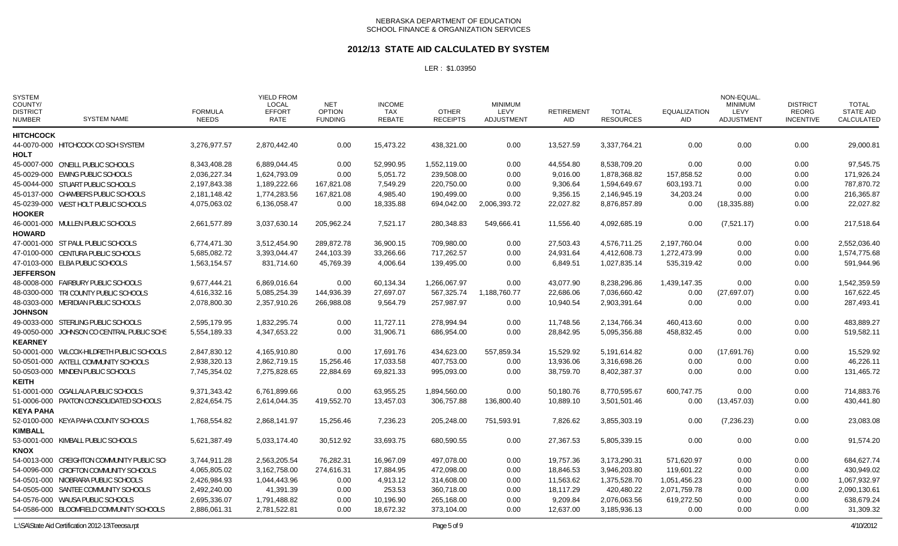### **2012/13 STATE AID CALCULATED BY SYSTEM**

LER : \$1.03950

| <b>SYSTEM</b><br>COUNTY/<br><b>DISTRICT</b><br><b>NUMBER</b> | <b>SYSTEM NAME</b>                         | <b>FORMULA</b><br><b>NEEDS</b> | <b>YIELD FROM</b><br><b>LOCAL</b><br><b>EFFORT</b><br><b>RATE</b> | NET<br><b>OPTION</b><br><b>FUNDING</b> | <b>INCOME</b><br>TAX<br><b>REBATE</b> | <b>OTHER</b><br><b>RECEIPTS</b> | <b>MINIMUM</b><br>LEVY<br><b>ADJUSTMENT</b> | <b>RETIREMENT</b><br><b>AID</b> | <b>TOTAL</b><br><b>RESOURCES</b> | <b>EQUALIZATION</b><br><b>AID</b> | NON-EQUAL.<br><b>MINIMUM</b><br>LEVY<br><b>ADJUSTMENT</b> | <b>DISTRICT</b><br><b>REORG</b><br><b>INCENTIVE</b> | <b>TOTAL</b><br><b>STATE AID</b><br>CALCULATED |
|--------------------------------------------------------------|--------------------------------------------|--------------------------------|-------------------------------------------------------------------|----------------------------------------|---------------------------------------|---------------------------------|---------------------------------------------|---------------------------------|----------------------------------|-----------------------------------|-----------------------------------------------------------|-----------------------------------------------------|------------------------------------------------|
| <b>HITCHCOCK</b>                                             |                                            |                                |                                                                   |                                        |                                       |                                 |                                             |                                 |                                  |                                   |                                                           |                                                     |                                                |
| <b>HOLT</b>                                                  | 44-0070-000 HITCHCOCK CO SCH SYSTEM        | 3.276.977.57                   | 2.870.442.40                                                      | 0.00                                   | 15,473.22                             | 438,321.00                      | 0.00                                        | 13,527.59                       | 3,337,764.21                     | 0.00                              | 0.00                                                      | 0.00                                                | 29,000.81                                      |
|                                                              | 45-0007-000 O'NEILL PUBLIC SCHOOLS         | 8.343.408.28                   | 6.889.044.45                                                      | 0.00                                   | 52.990.95                             | 1.552.119.00                    | 0.00                                        | 44,554.80                       | 8.538.709.20                     | 0.00                              | 0.00                                                      | 0.00                                                | 97,545.75                                      |
|                                                              | 45-0029-000 EWING PUBLIC SCHOOLS           | 2,036,227.34                   | 1,624,793.09                                                      | 0.00                                   | 5,051.72                              | 239,508.00                      | 0.00                                        | 9,016.00                        | 1,878,368.82                     | 157,858.52                        | 0.00                                                      | 0.00                                                | 171,926.24                                     |
|                                                              | 45-0044-000 STUART PUBLIC SCHOOLS          | 2,197,843.38                   | 1,189,222.66                                                      | 167,821.08                             | 7,549.29                              | 220,750.00                      | 0.00                                        | 9,306.64                        | 1,594,649.67                     | 603,193.71                        | 0.00                                                      | 0.00                                                | 787,870.72                                     |
|                                                              | 45-0137-000 CHAMBERS PUBLIC SCHOOLS        | 2,181,148.42                   | 1,774,283.56                                                      | 167,821.08                             | 4,985.40                              | 190,499.00                      | 0.00                                        | 9,356.15                        | 2,146,945.19                     | 34,203.24                         | 0.00                                                      | 0.00                                                | 216,365.87                                     |
|                                                              | 45-0239-000 WEST HOLT PUBLIC SCHOOLS       | 4,075,063.02                   | 6,136,058.47                                                      | 0.00                                   | 18,335.88                             | 694,042.00                      | 2,006,393.72                                | 22,027.82                       | 8,876,857.89                     | 0.00                              | (18, 335.88)                                              | 0.00                                                | 22,027.82                                      |
| <b>HOOKER</b>                                                |                                            |                                |                                                                   |                                        |                                       |                                 |                                             |                                 |                                  |                                   |                                                           |                                                     |                                                |
| <b>HOWARD</b>                                                | 46-0001-000 MULLEN PUBLIC SCHOOLS          | 2,661,577.89                   | 3,037,630.14                                                      | 205,962.24                             | 7,521.17                              | 280,348.83                      | 549,666.41                                  | 11,556.40                       | 4,092,685.19                     | 0.00                              | (7,521.17)                                                | 0.00                                                | 217,518.64                                     |
|                                                              | 47-0001-000 ST PAUL PUBLIC SCHOOLS         | 6,774,471.30                   | 3,512,454.90                                                      | 289,872.78                             | 36,900.15                             | 709,980.00                      | 0.00                                        | 27,503.43                       | 4,576,711.25                     | 2,197,760.04                      | 0.00                                                      | 0.00                                                | 2,552,036.40                                   |
|                                                              | 47-0100-000 CENTURA PUBLIC SCHOOLS         | 5.685.082.72                   | 3,393,044.47                                                      | 244.103.39                             | 33,266.66                             | 717.262.57                      | 0.00                                        | 24,931.64                       | 4,412,608.73                     | 1,272,473.99                      | 0.00                                                      | 0.00                                                | 1,574,775.68                                   |
|                                                              | 47-0103-000 ELBA PUBLIC SCHOOLS            | 1,563,154.57                   | 831,714.60                                                        | 45,769.39                              | 4,006.64                              | 139,495.00                      | 0.00                                        | 6,849.51                        | 1,027,835.14                     | 535,319.42                        | 0.00                                                      | 0.00                                                | 591,944.96                                     |
| <b>JEFFERSON</b>                                             |                                            |                                |                                                                   |                                        |                                       |                                 |                                             |                                 |                                  |                                   |                                                           |                                                     |                                                |
|                                                              | 48-0008-000 FAIRBURY PUBLIC SCHOOLS        | 9,677,444.21                   | 6,869,016.64                                                      | 0.00                                   | 60,134.34                             | 1,266,067.97                    | 0.00                                        | 43,077.90                       | 8,238,296.86                     | 1,439,147.35                      | 0.00                                                      | 0.00                                                | 1,542,359.59                                   |
|                                                              | 48-0300-000 TRI COUNTY PUBLIC SCHOOLS      | 4,616,332.16                   | 5,085,254.39                                                      | 144,936.39                             | 27,697.07                             | 567,325.74                      | 1,188,760.77                                | 22,686.06                       | 7,036,660.42                     | 0.00                              | (27, 697.07)                                              | 0.00                                                | 167,622.45                                     |
|                                                              | 48-0303-000 MERIDIAN PUBLIC SCHOOLS        | 2,078,800.30                   | 2,357,910.26                                                      | 266,988.08                             | 9,564.79                              | 257,987.97                      | 0.00                                        | 10,940.54                       | 2,903,391.64                     | 0.00                              | 0.00                                                      | 0.00                                                | 287,493.41                                     |
| <b>JOHNSON</b>                                               |                                            |                                |                                                                   |                                        |                                       |                                 |                                             |                                 |                                  |                                   |                                                           |                                                     |                                                |
|                                                              | 49-0033-000 STERLING PUBLIC SCHOOLS        | 2,595,179.95                   | 1,832,295.74                                                      | 0.00                                   | 11,727.11                             | 278,994.94                      | 0.00                                        | 11,748.56                       | 2,134,766.34                     | 460,413.60                        | 0.00                                                      | 0.00                                                | 483,889.27                                     |
| <b>KEARNEY</b>                                               | 49-0050-000 JOHNSON CO CENTRAL PUBLIC SCHS | 5,554,189.33                   | 4,347,653.22                                                      | 0.00                                   | 31,906.71                             | 686,954.00                      | 0.00                                        | 28,842.95                       | 5,095,356.88                     | 458,832.45                        | 0.00                                                      | 0.00                                                | 519,582.11                                     |
|                                                              | 50-0001-000 WILCOX-HILDRETH PUBLIC SCHOOLS | 2,847,830.12                   | 4,165,910.80                                                      | 0.00                                   | 17,691.76                             | 434,623.00                      | 557,859.34                                  | 15,529.92                       | 5,191,614.82                     | 0.00                              | (17,691.76)                                               | 0.00                                                | 15,529.92                                      |
|                                                              | 50-0501-000 AXTELL COMMUNITY SCHOOLS       | 2,938,320.13                   | 2,862,719.15                                                      | 15,256.46                              | 17,033.58                             | 407,753.00                      | 0.00                                        | 13,936.06                       | 3,316,698.26                     | 0.00                              | 0.00                                                      | 0.00                                                | 46,226.11                                      |
|                                                              | 50-0503-000 MINDEN PUBLIC SCHOOLS          | 7,745,354.02                   | 7,275,828.65                                                      | 22,884.69                              | 69,821.33                             | 995,093.00                      | 0.00                                        | 38,759.70                       | 8,402,387.37                     | 0.00                              | 0.00                                                      | 0.00                                                | 131,465.72                                     |
| <b>KEITH</b>                                                 |                                            |                                |                                                                   |                                        |                                       |                                 |                                             |                                 |                                  |                                   |                                                           |                                                     |                                                |
|                                                              | 51-0001-000 OGALLALA PUBLIC SCHOOLS        | 9,371,343.42                   | 6.761.899.66                                                      | 0.00                                   | 63.955.25                             | 1.894.560.00                    | 0.00                                        | 50.180.76                       | 8.770.595.67                     | 600,747.75                        | 0.00                                                      | 0.00                                                | 714,883.76                                     |
|                                                              | 51-0006-000 PAXTON CONSOLIDATED SCHOOLS    | 2,824,654.75                   | 2,614,044.35                                                      | 419,552.70                             | 13,457.03                             | 306,757.88                      | 136,800.40                                  | 10,889.10                       | 3,501,501.46                     | 0.00                              | (13, 457.03)                                              | 0.00                                                | 430,441.80                                     |
| <b>KEYA PAHA</b>                                             |                                            |                                |                                                                   |                                        |                                       |                                 |                                             |                                 |                                  |                                   |                                                           |                                                     |                                                |
|                                                              | 52-0100-000 KEYA PAHA COUNTY SCHOOLS       | 1,768,554.82                   | 2,868,141.97                                                      | 15,256.46                              | 7,236.23                              | 205,248.00                      | 751,593.91                                  | 7,826.62                        | 3,855,303.19                     | 0.00                              | (7,236.23)                                                | 0.00                                                | 23,083.08                                      |
| <b>KIMBALL</b>                                               |                                            |                                |                                                                   |                                        |                                       |                                 |                                             |                                 |                                  |                                   |                                                           |                                                     |                                                |
|                                                              | 53-0001-000 KIMBALL PUBLIC SCHOOLS         | 5,621,387.49                   | 5,033,174.40                                                      | 30,512.92                              | 33,693.75                             | 680,590.55                      | 0.00                                        | 27,367.53                       | 5,805,339.15                     | 0.00                              | 0.00                                                      | 0.00                                                | 91,574.20                                      |
| <b>KNOX</b>                                                  |                                            |                                |                                                                   |                                        |                                       |                                 |                                             |                                 |                                  |                                   |                                                           |                                                     |                                                |
|                                                              | 54-0013-000 CREIGHTON COMMUNITY PUBLIC SCH | 3,744,911.28                   | 2,563,205.54                                                      | 76,282.31                              | 16,967.09                             | 497,078.00                      | 0.00                                        | 19,757.36                       | 3,173,290.31                     | 571,620.97                        | 0.00                                                      | 0.00                                                | 684,627.74                                     |
|                                                              | 54-0096-000 CROFTON COMMUNITY SCHOOLS      | 4,065,805.02                   | 3,162,758.00                                                      | 274,616.31                             | 17,884.95                             | 472,098.00                      | 0.00                                        | 18,846.53                       | 3,946,203.80                     | 119,601.22                        | 0.00                                                      | 0.00                                                | 430,949.02                                     |
|                                                              | 54-0501-000 NIOBRARA PUBLIC SCHOOLS        | 2,426,984.93                   | 1,044,443.96                                                      | 0.00                                   | 4,913.12                              | 314,608.00                      | 0.00                                        | 11,563.62                       | 1,375,528.70                     | 1,051,456.23                      | 0.00                                                      | 0.00                                                | 1,067,932.97                                   |
|                                                              | 54-0505-000 SANTEE COMMUNITY SCHOOLS       | 2,492,240.00                   | 41,391.39                                                         | 0.00                                   | 253.53                                | 360,718.00                      | 0.00                                        | 18,117.29                       | 420,480.22                       | 2,071,759.78                      | 0.00                                                      | 0.00                                                | 2,090,130.61                                   |
|                                                              | 54-0576-000 WAUSA PUBLIC SCHOOLS           | 2,695,336.07                   | 1,791,488.82                                                      | 0.00                                   | 10,196.90                             | 265,168.00                      | 0.00                                        | 9,209.84                        | 2,076,063.56                     | 619,272.50                        | 0.00                                                      | 0.00                                                | 638,679.24                                     |
|                                                              | 54-0586-000 BLOOMFIELD COMMUNITY SCHOOLS   | 2,886,061.31                   | 2,781,522.81                                                      | 0.00                                   | 18,672.32                             | 373,104.00                      | 0.00                                        | 12,637.00                       | 3,185,936.13                     | 0.00                              | 0.00                                                      | 0.00                                                | 31,309.32                                      |

L:\SA\State Aid Certification 2012-13\Teeosa.rpt Page 5 of 9 4/10/2012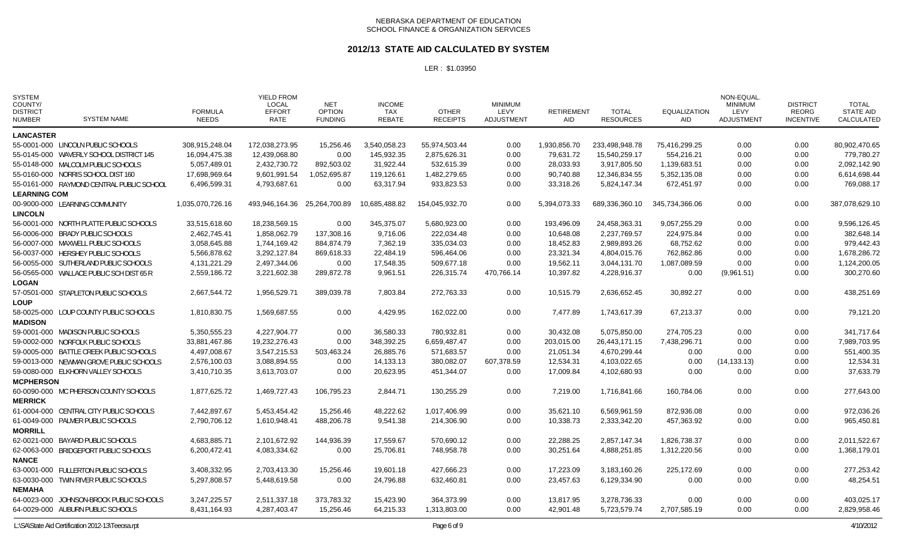#### **2012/13 STATE AID CALCULATED BY SYSTEM**

| <b>SYSTEM</b><br>COUNTY/<br><b>DISTRICT</b><br><b>NUMBER</b> | <b>SYSTEM NAME</b>                        | <b>FORMULA</b><br><b>NEEDS</b> | <b>YIELD FROM</b><br><b>LOCAL</b><br><b>EFFORT</b><br>RATE | <b>NET</b><br><b>OPTION</b><br><b>FUNDING</b> | <b>INCOME</b><br>TAX<br><b>REBATE</b> | <b>OTHER</b><br><b>RECEIPTS</b> | <b>MINIMUM</b><br>LEVY<br><b>ADJUSTMENT</b> | <b>RETIREMENT</b><br><b>AID</b> | <b>TOTAL</b><br><b>RESOURCES</b> | <b>EQUALIZATION</b><br>AID | <b>NON-EQUAL</b><br><b>MINIMUM</b><br>LEVY<br>ADJUSTMENT | <b>DISTRICT</b><br><b>REORG</b><br><b>INCENTIVE</b> | <b>TOTAL</b><br><b>STATE AID</b><br>CALCULATED |
|--------------------------------------------------------------|-------------------------------------------|--------------------------------|------------------------------------------------------------|-----------------------------------------------|---------------------------------------|---------------------------------|---------------------------------------------|---------------------------------|----------------------------------|----------------------------|----------------------------------------------------------|-----------------------------------------------------|------------------------------------------------|
| <b>LANCASTER</b>                                             |                                           |                                |                                                            |                                               |                                       |                                 |                                             |                                 |                                  |                            |                                                          |                                                     |                                                |
|                                                              | 55-0001-000 LINCOLN PUBLIC SCHOOLS        | 308,915,248.04                 | 172,038,273.95                                             | 15.256.46                                     | 3.540.058.23                          | 55,974,503.44                   | 0.00                                        | 1,930,856.70                    | 233.498.948.78                   | 75.416.299.25              | 0.00                                                     | 0.00                                                | 80.902.470.65                                  |
|                                                              | 55-0145-000 WAVERLY SCHOOL DISTRICT 145   | 16,094,475.38                  | 12,439,068.80                                              | 0.00                                          | 145,932.35                            | 2,875,626.31                    | 0.00                                        | 79,631.72                       | 15,540,259.17                    | 554,216.21                 | 0.00                                                     | 0.00                                                | 779,780.27                                     |
|                                                              | 55-0148-000 MALCOLM PUBLIC SCHOOLS        | 5,057,489.01                   | 2,432,730.72                                               | 892,503.02                                    | 31,922.44                             | 532,615.39                      | 0.00                                        | 28,033.93                       | 3,917,805.50                     | 1,139,683.51               | 0.00                                                     | 0.00                                                | 2,092,142.90                                   |
|                                                              | 55-0160-000 NORRIS SCHOOL DIST 160        | 17,698,969.64                  | 9,601,991.54                                               | 1,052,695.87                                  | 119,126.61                            | 1,482,279.65                    | 0.00                                        | 90,740.88                       | 12,346,834.55                    | 5,352,135.08               | 0.00                                                     | 0.00                                                | 6,614,698.44                                   |
|                                                              | 55-0161-000 RAYMOND CENTRAL PUBLIC SCHOOL | 6,496,599.31                   | 4,793,687.61                                               | 0.00                                          | 63,317.94                             | 933,823.53                      | 0.00                                        | 33,318.26                       | 5,824,147.34                     | 672,451.97                 | 0.00                                                     | 0.00                                                | 769,088.17                                     |
| <b>LEARNING COM</b>                                          |                                           |                                |                                                            |                                               |                                       |                                 |                                             |                                 |                                  |                            |                                                          |                                                     |                                                |
|                                                              | 00-9000-000 LEARNING COMMUNITY            | 1,035,070,726.16               | 493,946,164.36                                             | 25,264,700.89                                 | 10,685,488.82                         | 154,045,932.70                  | 0.00                                        | 5,394,073.33                    | 689,336,360.10                   | 345,734,366.06             | 0.00                                                     | 0.00                                                | 387,078,629.10                                 |
| <b>LINCOLN</b>                                               |                                           |                                |                                                            |                                               |                                       |                                 |                                             |                                 |                                  |                            |                                                          |                                                     |                                                |
|                                                              | 56-0001-000 NORTH PLATTE PUBLIC SCHOOLS   | 33,515,618.60                  | 18,238,569.15                                              | 0.00                                          | 345,375.07                            | 5,680,923.00                    | 0.00                                        | 193,496.09                      | 24,458,363.31                    | 9,057,255.29               | 0.00                                                     | 0.00                                                | 9,596,126.45                                   |
|                                                              | 56-0006-000 BRADY PUBLIC SCHOOLS          | 2,462,745.41                   | 1,858,062.79                                               | 137,308.16                                    | 9,716.06                              | 222,034.48                      | 0.00                                        | 10,648.08                       | 2,237,769.57                     | 224,975.84                 | 0.00                                                     | 0.00                                                | 382,648.14                                     |
|                                                              | 56-0007-000 MAXWELL PUBLIC SCHOOLS        | 3,058,645.88                   | 1,744,169.42                                               | 884,874.79                                    | 7,362.19                              | 335,034.03                      | 0.00                                        | 18,452.83                       | 2,989,893.26                     | 68,752.62                  | 0.00                                                     | 0.00                                                | 979,442.43                                     |
|                                                              | 56-0037-000 HERSHEY PUBLIC SCHOOLS        | 5,566,878.62                   | 3,292,127.84                                               | 869,618.33                                    | 22,484.19                             | 596,464.06                      | 0.00                                        | 23,321.34                       | 4,804,015.76                     | 762,862.86                 | 0.00                                                     | 0.00                                                | 1,678,286.72                                   |
|                                                              | 56-0055-000 SUTHERLAND PUBLIC SCHOOLS     | 4, 131, 221. 29                | 2,497,344.06                                               | 0.00                                          | 17,548.35                             | 509,677.18                      | 0.00                                        | 19,562.11                       | 3,044,131.70                     | 1,087,089.59               | 0.00                                                     | 0.00                                                | 1,124,200.05                                   |
|                                                              | 56-0565-000 WALLACE PUBLIC SCH DIST 65 R  | 2,559,186.72                   | 3,221,602.38                                               | 289,872.78                                    | 9,961.51                              | 226,315.74                      | 470,766.14                                  | 10,397.82                       | 4,228,916.37                     | 0.00                       | (9,961.51)                                               | 0.00                                                | 300,270.60                                     |
| <b>LOGAN</b>                                                 |                                           |                                |                                                            |                                               |                                       |                                 |                                             |                                 |                                  |                            |                                                          |                                                     |                                                |
|                                                              | 57-0501-000 STAPLETON PUBLIC SCHOOLS      | 2,667,544.72                   | 1,956,529.71                                               | 389,039.78                                    | 7,803.84                              | 272,763.33                      | 0.00                                        | 10,515.79                       | 2,636,652.45                     | 30,892.27                  | 0.00                                                     | 0.00                                                | 438,251.69                                     |
| <b>LOUP</b>                                                  |                                           |                                |                                                            |                                               |                                       |                                 |                                             |                                 |                                  |                            |                                                          |                                                     |                                                |
| <b>MADISON</b>                                               | 58-0025-000 LOUP COUNTY PUBLIC SCHOOLS    | 1,810,830.75                   | 1,569,687.55                                               | 0.00                                          | 4,429.95                              | 162,022.00                      | 0.00                                        | 7,477.89                        | 1,743,617.39                     | 67,213.37                  | 0.00                                                     | 0.00                                                | 79,121.20                                      |
|                                                              | 59-0001-000 MADISON PUBLIC SCHOOLS        |                                |                                                            | 0.00                                          |                                       |                                 | 0.00                                        | 30,432.08                       |                                  |                            | 0.00                                                     |                                                     | 341,717.64                                     |
|                                                              | 59-0002-000 NORFOLK PUBLIC SCHOOLS        | 5,350,555.23<br>33,881,467.86  | 4,227,904.77<br>19,232,276.43                              | 0.00                                          | 36,580.33<br>348,392.25               | 780,932.81<br>6,659,487.47      | 0.00                                        | 203,015.00                      | 5,075,850.00<br>26,443,171.15    | 274,705.23<br>7,438,296.71 | 0.00                                                     | 0.00<br>0.00                                        | 7,989,703.95                                   |
|                                                              | 59-0005-000 BATTLE CREEK PUBLIC SCHOOLS   | 4,497,008.67                   | 3,547,215.53                                               | 503,463.24                                    | 26,885.76                             | 571,683.57                      | 0.00                                        | 21,051.34                       | 4,670,299.44                     | 0.00                       | 0.00                                                     | 0.00                                                | 551,400.35                                     |
|                                                              | 59-0013-000 NEWMAN GROVE PUBLIC SCHOOLS   | 2,576,100.03                   | 3,088,894.55                                               | 0.00                                          | 14,133.13                             | 380,082.07                      | 607,378.59                                  | 12,534.31                       | 4,103,022.65                     | 0.00                       | (14, 133.13)                                             | 0.00                                                | 12,534.31                                      |
|                                                              | 59-0080-000 ELKHORN VALLEY SCHOOLS        | 3,410,710.35                   | 3,613,703.07                                               | 0.00                                          | 20,623.95                             | 451,344.07                      | 0.00                                        | 17,009.84                       | 4,102,680.93                     | 0.00                       | 0.00                                                     | 0.00                                                | 37.633.79                                      |
| <b>MCPHERSON</b>                                             |                                           |                                |                                                            |                                               |                                       |                                 |                                             |                                 |                                  |                            |                                                          |                                                     |                                                |
|                                                              | 60-0090-000 MC PHERSON COUNTY SCHOOLS     | 1.877.625.72                   | 1,469,727.43                                               | 106.795.23                                    | 2,844.71                              | 130.255.29                      | 0.00                                        | 7.219.00                        | 1,716,841.66                     | 160.784.06                 | 0.00                                                     | 0.00                                                | 277,643.00                                     |
| <b>MERRICK</b>                                               |                                           |                                |                                                            |                                               |                                       |                                 |                                             |                                 |                                  |                            |                                                          |                                                     |                                                |
|                                                              | 61-0004-000 CENTRAL CITY PUBLIC SCHOOLS   | 7,442,897.67                   | 5,453,454.42                                               | 15,256.46                                     | 48,222.62                             | 1,017,406.99                    | 0.00                                        | 35,621.10                       | 6,569,961.59                     | 872,936.08                 | 0.00                                                     | 0.00                                                | 972,036.26                                     |
|                                                              | 61-0049-000 PALMER PUBLIC SCHOOLS         | 2,790,706.12                   | 1,610,948.41                                               | 488,206.78                                    | 9,541.38                              | 214,306.90                      | 0.00                                        | 10,338.73                       | 2,333,342.20                     | 457,363.92                 | 0.00                                                     | 0.00                                                | 965,450.81                                     |
| <b>MORRILL</b>                                               |                                           |                                |                                                            |                                               |                                       |                                 |                                             |                                 |                                  |                            |                                                          |                                                     |                                                |
|                                                              | 62-0021-000 BAYARD PUBLIC SCHOOLS         | 4,683,885.71                   | 2,101,672.92                                               | 144,936.39                                    | 17,559.67                             | 570,690.12                      | 0.00                                        | 22,288.25                       | 2,857,147.34                     | 1,826,738.37               | 0.00                                                     | 0.00                                                | 2,011,522.67                                   |
|                                                              | 62-0063-000 BRIDGEPORT PUBLIC SCHOOLS     | 6,200,472.41                   | 4,083,334.62                                               | 0.00                                          | 25,706.81                             | 748,958.78                      | 0.00                                        | 30,251.64                       | 4,888,251.85                     | 1,312,220.56               | 0.00                                                     | 0.00                                                | 1,368,179.01                                   |
| <b>NANCE</b>                                                 |                                           |                                |                                                            |                                               |                                       |                                 |                                             |                                 |                                  |                            |                                                          |                                                     |                                                |
|                                                              | 63-0001-000 FULLERTON PUBLIC SCHOOLS      | 3,408,332.95                   | 2,703,413.30                                               | 15,256.46                                     | 19,601.18                             | 427,666.23                      | 0.00                                        | 17,223.09                       | 3,183,160.26                     | 225,172.69                 | 0.00                                                     | 0.00                                                | 277,253.42                                     |
|                                                              | 63-0030-000 TWIN RIVER PUBLIC SCHOOLS     | 5,297,808.57                   | 5,448,619.58                                               | 0.00                                          | 24,796.88                             | 632,460.81                      | 0.00                                        | 23,457.63                       | 6,129,334.90                     | 0.00                       | 0.00                                                     | 0.00                                                | 48,254.51                                      |
| <b>NEMAHA</b>                                                |                                           |                                |                                                            |                                               |                                       |                                 |                                             |                                 |                                  |                            |                                                          |                                                     |                                                |
|                                                              | 64-0023-000 JOHNSON-BROCK PUBLIC SCHOOLS  | 3,247,225.57                   | 2,511,337.18                                               | 373,783.32                                    | 15,423.90                             | 364,373.99                      | 0.00                                        | 13,817.95                       | 3,278,736.33                     | 0.00                       | 0.00                                                     | 0.00                                                | 403,025.17                                     |
|                                                              | 64-0029-000 AUBURN PUBLIC SCHOOLS         | 8,431,164.93                   | 4,287,403.47                                               | 15,256.46                                     | 64,215.33                             | 1,313,803.00                    | 0.00                                        | 42,901.48                       | 5,723,579.74                     | 2,707,585.19               | 0.00                                                     | 0.00                                                | 2,829,958.46                                   |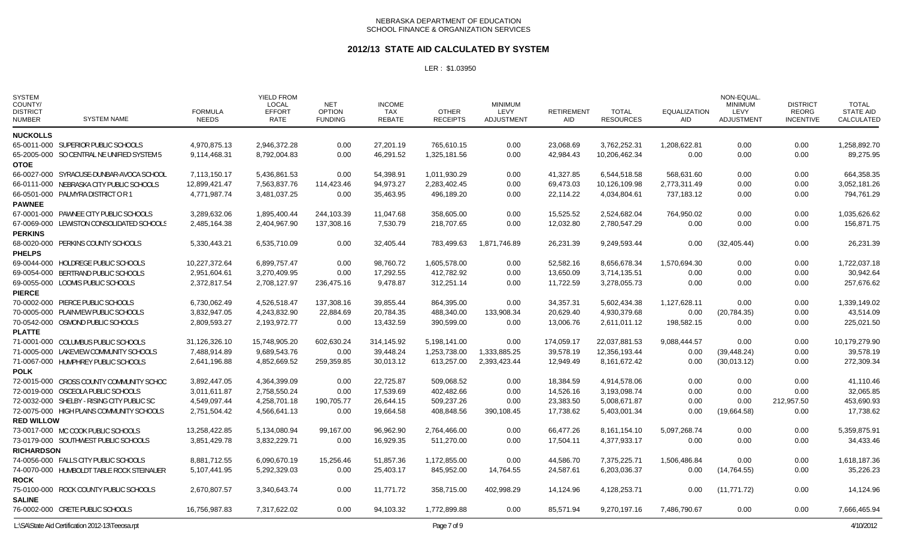### **2012/13 STATE AID CALCULATED BY SYSTEM**

| <b>SYSTEM</b><br>COUNTY/<br><b>DISTRICT</b><br><b>NUMBER</b> | <b>SYSTEM NAME</b>                               | <b>FORMULA</b><br><b>NEEDS</b> | <b>YIELD FROM</b><br><b>LOCAL</b><br><b>EFFORT</b><br>RATE | <b>NET</b><br><b>OPTION</b><br><b>FUNDING</b> | <b>INCOME</b><br>TAX<br><b>REBATE</b> | <b>OTHER</b><br><b>RECEIPTS</b> | <b>MINIMUM</b><br>LEVY<br><b>ADJUSTMENT</b> | <b>RETIREMENT</b><br><b>AID</b> | TOTAL<br><b>RESOURCES</b> | <b>EQUALIZATION</b><br><b>AID</b> | NON-EQUAL<br><b>MINIMUM</b><br>LEVY<br>ADJUSTMENT | <b>DISTRICT</b><br>REORG<br><b>INCENTIVE</b> | <b>TOTAL</b><br><b>STATE AID</b><br>CALCULATED |
|--------------------------------------------------------------|--------------------------------------------------|--------------------------------|------------------------------------------------------------|-----------------------------------------------|---------------------------------------|---------------------------------|---------------------------------------------|---------------------------------|---------------------------|-----------------------------------|---------------------------------------------------|----------------------------------------------|------------------------------------------------|
| <b>NUCKOLLS</b>                                              |                                                  |                                |                                                            |                                               |                                       |                                 |                                             |                                 |                           |                                   |                                                   |                                              |                                                |
|                                                              | 65-0011-000 SUPERIOR PUBLIC SCHOOLS              | 4,970,875.13                   | 2,946,372.28                                               | 0.00                                          | 27,201.19                             | 765,610.15                      | 0.00                                        | 23,068.69                       | 3,762,252.31              | 1,208,622.81                      | 0.00                                              | 0.00                                         | 1,258,892.70                                   |
|                                                              | 65-2005-000 SO CENTRAL NE UNIFIED SYSTEM 5       | 9,114,468.31                   | 8,792,004.83                                               | 0.00                                          | 46,291.52                             | 1,325,181.56                    | 0.00                                        | 42,984.43                       | 10,206,462.34             | 0.00                              | 0.00                                              | 0.00                                         | 89,275.95                                      |
| <b>OTOE</b>                                                  |                                                  |                                |                                                            |                                               |                                       |                                 |                                             |                                 |                           |                                   |                                                   |                                              |                                                |
|                                                              | 66-0027-000 SYRACUSE-DUNBAR-AVOCA SCHOOL         | 7,113,150.17                   | 5,436,861.53                                               | 0.00                                          | 54,398.91                             | 1,011,930.29                    | 0.00                                        | 41,327.85                       | 6,544,518.58              | 568,631.60                        | 0.00                                              | 0.00                                         | 664,358.35                                     |
|                                                              | 66-0111-000 NEBRASKA CITY PUBLIC SCHOOLS         | 12,899,421.47                  | 7,563,837.76                                               | 114,423.46                                    | 94.973.27                             | 2,283,402.45                    | 0.00                                        | 69,473.03                       | 10,126,109.98             | 2,773,311.49                      | 0.00                                              | 0.00                                         | 3,052,181.26                                   |
|                                                              | 66-0501-000 PALMYRA DISTRICT OR 1                | 4,771,987.74                   | 3,481,037.25                                               | 0.00                                          | 35,463.95                             | 496,189.20                      | 0.00                                        | 22,114.22                       | 4,034,804.61              | 737,183.12                        | 0.00                                              | 0.00                                         | 794,761.29                                     |
| <b>PAWNEE</b>                                                |                                                  |                                |                                                            |                                               |                                       |                                 |                                             |                                 |                           |                                   |                                                   |                                              |                                                |
|                                                              | 67-0001-000 PAWNEE CITY PUBLIC SCHOOLS           | 3,289,632.06                   | 1,895,400.44                                               | 244,103.39                                    | 11,047.68                             | 358,605.00                      | 0.00                                        | 15,525.52                       | 2,524,682.04              | 764,950.02                        | 0.00                                              | 0.00                                         | 1,035,626.62                                   |
|                                                              | 67-0069-000 LEWISTON CONSOLIDATED SCHOOLS        | 2,485,164.38                   | 2,404,967.90                                               | 137,308.16                                    | 7,530.79                              | 218,707.65                      | 0.00                                        | 12,032.80                       | 2,780,547.29              | 0.00                              | 0.00                                              | 0.00                                         | 156,871.75                                     |
| <b>PERKINS</b>                                               |                                                  |                                |                                                            |                                               |                                       |                                 |                                             |                                 |                           |                                   |                                                   |                                              |                                                |
|                                                              | 68-0020-000 PERKINS COUNTY SCHOOLS               | 5,330,443.21                   | 6,535,710.09                                               | 0.00                                          | 32,405.44                             | 783,499.63                      | 1,871,746.89                                | 26,231.39                       | 9,249,593.44              | 0.00                              | (32, 405.44)                                      | 0.00                                         | 26,231.39                                      |
| <b>PHELPS</b>                                                |                                                  |                                |                                                            |                                               |                                       |                                 |                                             |                                 |                           |                                   |                                                   |                                              |                                                |
|                                                              | 69-0044-000 HOLDREGE PUBLIC SCHOOLS              | 10,227,372.64                  | 6,899,757.47                                               | 0.00                                          | 98,760.72                             | 1,605,578.00                    | 0.00                                        | 52,582.16                       | 8,656,678.34              | 1,570,694.30                      | 0.00                                              | 0.00                                         | 1,722,037.18                                   |
|                                                              | 69-0054-000 BERTRAND PUBLIC SCHOOLS              | 2,951,604.61                   | 3,270,409.95                                               | 0.00                                          | 17,292.55                             | 412,782.92                      | 0.00                                        | 13,650.09                       | 3,714,135.51              | 0.00                              | 0.00                                              | 0.00                                         | 30,942.64                                      |
|                                                              | 69-0055-000 LOOMIS PUBLIC SCHOOLS                | 2,372,817.54                   | 2,708,127.97                                               | 236,475.16                                    | 9,478.87                              | 312,251.14                      | 0.00                                        | 11,722.59                       | 3,278,055.73              | 0.00                              | 0.00                                              | 0.00                                         | 257,676.62                                     |
| <b>PIERCE</b>                                                |                                                  |                                |                                                            |                                               |                                       |                                 |                                             |                                 |                           |                                   |                                                   |                                              |                                                |
|                                                              | 70-0002-000 PIERCE PUBLIC SCHOOLS                | 6,730,062.49                   | 4,526,518.47                                               | 137,308.16                                    | 39,855.44                             | 864,395.00                      | 0.00                                        | 34,357.31                       | 5,602,434.38              | 1,127,628.11                      | 0.00                                              | 0.00                                         | 1,339,149.02                                   |
|                                                              | 70-0005-000 PLAINVIEW PUBLIC SCHOOLS             | 3,832,947.05                   | 4,243,832.90                                               | 22,884.69                                     | 20,784.35                             | 488,340.00                      | 133,908.34                                  | 20,629.40                       | 4,930,379.68              | 0.00                              | (20, 784.35)                                      | 0.00                                         | 43,514.09                                      |
|                                                              | 70-0542-000 OSMOND PUBLIC SCHOOLS                | 2,809,593.27                   | 2,193,972.77                                               | 0.00                                          | 13,432.59                             | 390,599.00                      | 0.00                                        | 13,006.76                       | 2,611,011.12              | 198,582.15                        | 0.00                                              | 0.00                                         | 225,021.50                                     |
| <b>PLATTE</b>                                                |                                                  |                                |                                                            |                                               |                                       |                                 |                                             |                                 |                           |                                   |                                                   |                                              |                                                |
|                                                              | 71-0001-000 COLUMBUS PUBLIC SCHOOLS              | 31,126,326.10                  | 15,748,905.20                                              | 602,630.24                                    | 314,145.92                            | 5,198,141.00                    | 0.00                                        | 174,059.17                      | 22,037,881.53             | 9,088,444.57                      | 0.00                                              | 0.00                                         | 10,179,279.90                                  |
|                                                              | 71-0005-000 LAKEVIEW COMMUNITY SCHOOLS           | 7,488,914.89                   | 9.689.543.76                                               | 0.00                                          | 39.448.24                             | 1,253,738.00                    | 1,333,885.25                                | 39,578.19                       | 12.356.193.44             | 0.00                              | (39, 448.24)                                      | 0.00                                         | 39,578.19                                      |
|                                                              | 71-0067-000 HUMPHREY PUBLIC SCHOOLS              | 2,641,196.88                   | 4,852,669.52                                               | 259,359.85                                    | 30,013.12                             | 613,257.00                      | 2,393,423.44                                | 12,949.49                       | 8,161,672.42              | 0.00                              | (30,013.12)                                       | 0.00                                         | 272,309.34                                     |
| <b>POLK</b>                                                  |                                                  |                                |                                                            |                                               |                                       |                                 |                                             |                                 |                           |                                   |                                                   |                                              |                                                |
|                                                              | 72-0015-000 CROSS COUNTY COMMUNITY SCHOO         | 3,892,447.05                   | 4,364,399.09                                               | 0.00                                          | 22,725.87                             | 509,068.52                      | 0.00                                        | 18,384.59                       | 4,914,578.06              | 0.00                              | 0.00                                              | 0.00                                         | 41,110.46                                      |
|                                                              | 72-0019-000 OSCEOLA PUBLIC SCHOOLS               | 3,011,611.87                   | 2,758,550.24                                               | 0.00                                          | 17,539.69                             | 402,482.66                      | 0.00                                        | 14,526.16                       | 3,193,098.74              | 0.00                              | 0.00                                              | 0.00                                         | 32,065.85                                      |
|                                                              | 72-0032-000 SHELBY - RISING CITY PUBLIC SC       | 4,549,097.44                   | 4,258,701.18                                               | 190,705.77                                    | 26,644.15                             | 509,237.26                      | 0.00                                        | 23,383.50                       | 5.008.671.87              | 0.00                              | 0.00                                              | 212,957.50                                   | 453,690.93                                     |
|                                                              | 72-0075-000 HIGH PLAINS COMMUNITY SCHOOLS        | 2,751,504.42                   | 4,566,641.13                                               | 0.00                                          | 19,664.58                             | 408,848.56                      | 390,108.45                                  | 17,738.62                       | 5,403,001.34              | 0.00                              | (19,664.58)                                       | 0.00                                         | 17,738.62                                      |
| <b>RED WILLOW</b>                                            |                                                  |                                |                                                            |                                               |                                       |                                 |                                             |                                 |                           |                                   |                                                   |                                              |                                                |
|                                                              | 73-0017-000 MC COOK PUBLIC SCHOOLS               | 13,258,422.85                  | 5,134,080.94                                               | 99,167.00                                     | 96.962.90                             | 2,764,466.00                    | 0.00                                        | 66.477.26                       | 8,161,154.10              | 5,097,268.74                      | 0.00                                              | 0.00                                         | 5,359,875.91                                   |
|                                                              | 73-0179-000 SOUTHWEST PUBLIC SCHOOLS             | 3,851,429.78                   | 3,832,229.71                                               | 0.00                                          | 16,929.35                             | 511,270.00                      | 0.00                                        | 17,504.11                       | 4,377,933.17              | 0.00                              | 0.00                                              | 0.00                                         | 34,433.46                                      |
| <b>RICHARDSON</b>                                            |                                                  |                                |                                                            |                                               |                                       |                                 |                                             |                                 |                           |                                   |                                                   |                                              |                                                |
|                                                              | 74-0056-000 FALLS CITY PUBLIC SCHOOLS            | 8,881,712.55                   | 6,090,670.19                                               | 15,256.46                                     | 51,857.36                             | 1,172,855.00                    | 0.00                                        | 44,586.70                       | 7,375,225.71              | 1,506,486.84                      | 0.00                                              | 0.00                                         | 1,618,187.36                                   |
|                                                              | 74-0070-000 HUMBOLDT TABLE ROCK STEINAUER        | 5,107,441.95                   | 5,292,329.03                                               | 0.00                                          | 25,403.17                             | 845,952.00                      | 14,764.55                                   | 24,587.61                       | 6,203,036.37              | 0.00                              | (14,764.55)                                       | 0.00                                         | 35,226.23                                      |
| <b>ROCK</b>                                                  |                                                  |                                |                                                            |                                               |                                       |                                 |                                             |                                 |                           |                                   |                                                   |                                              |                                                |
|                                                              | 75-0100-000 ROCK COUNTY PUBLIC SCHOOLS           | 2,670,807.57                   | 3,340,643.74                                               | 0.00                                          | 11,771.72                             | 358,715.00                      | 402,998.29                                  | 14,124.96                       | 4,128,253.71              | 0.00                              | (11, 771.72)                                      | 0.00                                         | 14,124.96                                      |
| <b>SALINE</b>                                                |                                                  |                                |                                                            |                                               |                                       |                                 |                                             |                                 |                           |                                   |                                                   |                                              |                                                |
|                                                              | 76-0002-000 CRETE PUBLIC SCHOOLS                 | 16,756,987.83                  | 7,317,622.02                                               | 0.00                                          | 94,103.32                             | 1,772,899.88                    | 0.00                                        | 85,571.94                       | 9,270,197.16              | 7,486,790.67                      | 0.00                                              | 0.00                                         | 7,666,465.94                                   |
|                                                              | L:\SA\State Aid Certification 2012-13\Teeosa.rpt |                                |                                                            |                                               |                                       | Page 7 of 9                     |                                             |                                 |                           |                                   |                                                   |                                              | 4/10/2012                                      |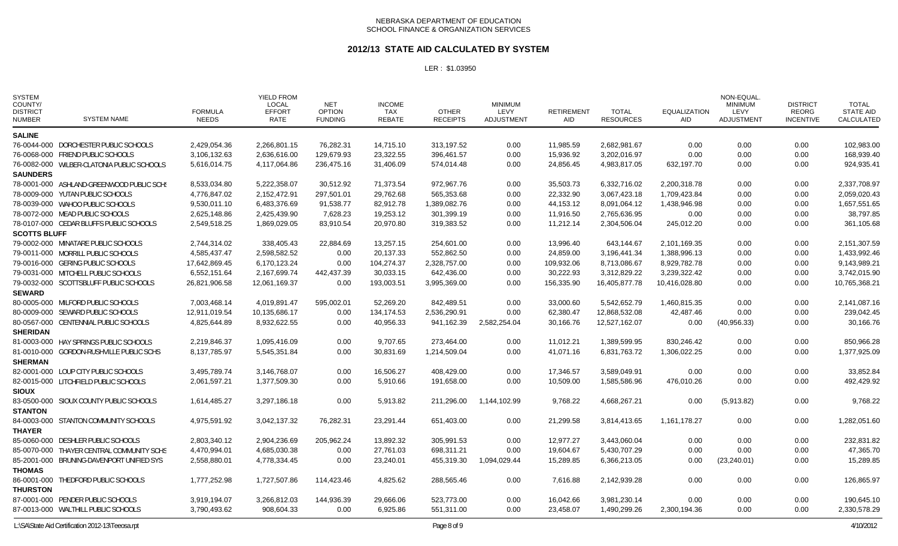### **2012/13 STATE AID CALCULATED BY SYSTEM**

| <b>SYSTEM</b><br>COUNTY/<br><b>DISTRICT</b><br><b>NUMBER</b> | <b>SYSTEM NAME</b>                         | <b>FORMULA</b><br><b>NEEDS</b> | <b>YIELD FROM</b><br><b>LOCAL</b><br><b>EFFORT</b><br>RATE | <b>NET</b><br><b>OPTION</b><br><b>FUNDING</b> | <b>INCOME</b><br>TAX<br><b>REBATE</b> | <b>OTHER</b><br><b>RECEIPTS</b> | <b>MINIMUM</b><br>LEVY<br>ADJUSTMENT | <b>RETIREMENT</b><br>AID | <b>TOTAL</b><br><b>RESOURCES</b> | <b>EQUALIZATION</b><br>AID | NON-EQUAL<br><b>MINIMUM</b><br>LEVY<br>ADJUSTMENT | <b>DISTRICT</b><br>REORG<br><b>INCENTIVE</b> | TOTAL<br>STATE AID<br>CALCULATED |
|--------------------------------------------------------------|--------------------------------------------|--------------------------------|------------------------------------------------------------|-----------------------------------------------|---------------------------------------|---------------------------------|--------------------------------------|--------------------------|----------------------------------|----------------------------|---------------------------------------------------|----------------------------------------------|----------------------------------|
| <b>SALINE</b>                                                |                                            |                                |                                                            |                                               |                                       |                                 |                                      |                          |                                  |                            |                                                   |                                              |                                  |
|                                                              | 76-0044-000 DORCHESTER PUBLIC SCHOOLS      | 2.429.054.36                   | 2.266.801.15                                               | 76.282.31                                     | 14.715.10                             | 313.197.52                      | 0.00                                 | 11.985.59                | 2.682.981.67                     | 0.00                       | 0.00                                              | 0.00                                         | 102.983.00                       |
|                                                              | 76-0068-000 FRIEND PUBLIC SCHOOLS          | 3,106,132.63                   | 2,636,616.00                                               | 129,679.93                                    | 23,322.55                             | 396,461.57                      | 0.00                                 | 15,936.92                | 3,202,016.97                     | 0.00                       | 0.00                                              | 0.00                                         | 168,939.40                       |
|                                                              | 76-0082-000 WILBER-CLATONIA PUBLIC SCHOOLS | 5,616,014.75                   | 4,117,064.86                                               | 236,475.16                                    | 31,406.09                             | 574,014.48                      | 0.00                                 | 24,856.45                | 4,983,817.05                     | 632,197.70                 | 0.00                                              | 0.00                                         | 924,935.41                       |
| <b>SAUNDERS</b>                                              |                                            |                                |                                                            |                                               |                                       |                                 |                                      |                          |                                  |                            |                                                   |                                              |                                  |
|                                                              | 78-0001-000 ASHLAND-GREENWOOD PUBLIC SCHS  | 8,533,034.80                   | 5,222,358.07                                               | 30,512.92                                     | 71,373.54                             | 972,967.76                      | 0.00                                 | 35,503.73                | 6,332,716.02                     | 2,200,318.78               | 0.00                                              | 0.00                                         | 2,337,708.97                     |
|                                                              | 78-0009-000 YUTAN PUBLIC SCHOOLS           | 4,776,847.02                   | 2,152,472.91                                               | 297,501.01                                    | 29,762.68                             | 565,353.68                      | 0.00                                 | 22,332.90                | 3,067,423.18                     | 1,709,423.84               | 0.00                                              | 0.00                                         | 2,059,020.43                     |
|                                                              | 78-0039-000 WAHOO PUBLIC SCHOOLS           | 9,530,011.10                   | 6,483,376.69                                               | 91,538.77                                     | 82,912.78                             | 1,389,082.76                    | 0.00                                 | 44,153.12                | 8,091,064.12                     | 1,438,946.98               | 0.00                                              | 0.00                                         | 1,657,551.65                     |
|                                                              | 78-0072-000 MEAD PUBLIC SCHOOLS            | 2.625.148.86                   | 2,425,439.90                                               | 7,628.23                                      | 19,253.12                             | 301,399.19                      | 0.00                                 | 11.916.50                | 2.765.636.95                     | 0.00                       | 0.00                                              | 0.00                                         | 38.797.85                        |
|                                                              | 78-0107-000 CEDAR BLUFFS PUBLIC SCHOOLS    | 2,549,518.25                   | 1,869,029.05                                               | 83,910.54                                     | 20,970.80                             | 319,383.52                      | 0.00                                 | 11,212.14                | 2,304,506.04                     | 245,012.20                 | 0.00                                              | 0.00                                         | 361,105.68                       |
| <b>SCOTTS BLUFF</b>                                          |                                            |                                |                                                            |                                               |                                       |                                 |                                      |                          |                                  |                            |                                                   |                                              |                                  |
|                                                              | 79-0002-000 MINATARE PUBLIC SCHOOLS        | 2,744,314.02                   | 338,405.43                                                 | 22.884.69                                     | 13,257.15                             | 254,601.00                      | 0.00                                 | 13,996.40                | 643,144.67                       | 2,101,169.35               | 0.00                                              | 0.00                                         | 2,151,307.59                     |
|                                                              | 79-0011-000 MORRILL PUBLIC SCHOOLS         | 4,585,437.47                   | 2,598,582.52                                               | 0.00                                          | 20,137.33                             | 552,862.50                      | 0.00                                 | 24,859.00                | 3,196,441.34                     | 1,388,996.13               | 0.00                                              | 0.00                                         | 1,433,992.46                     |
|                                                              | 79-0016-000 GERING PUBLIC SCHOOLS          | 17,642,869.45                  | 6,170,123.24                                               | 0.00                                          | 104,274.37                            | 2,328,757.00                    | 0.00                                 | 109,932.06               | 8,713,086.67                     | 8,929,782.78               | 0.00                                              | 0.00                                         | 9,143,989.21                     |
|                                                              | 79-0031-000 MITCHELL PUBLIC SCHOOLS        | 6,552,151.64                   | 2,167,699.74                                               | 442,437.39                                    | 30,033.15                             | 642,436.00                      | 0.00                                 | 30,222.93                | 3,312,829.22                     | 3,239,322.42               | 0.00                                              | 0.00                                         | 3,742,015.90                     |
|                                                              | 79-0032-000 SCOTTSBLUFF PUBLIC SCHOOLS     | 26,821,906.58                  | 12,061,169.37                                              | 0.00                                          | 193,003.51                            | 3,995,369.00                    | 0.00                                 | 156,335.90               | 16,405,877.78                    | 10,416,028.80              | 0.00                                              | 0.00                                         | 10,765,368.21                    |
| <b>SEWARD</b>                                                |                                            |                                |                                                            |                                               |                                       |                                 |                                      |                          |                                  |                            |                                                   |                                              |                                  |
|                                                              | 80-0005-000 MILFORD PUBLIC SCHOOLS         | 7,003,468.14                   | 4,019,891.47                                               | 595,002.01                                    | 52,269.20                             | 842,489.51                      | 0.00                                 | 33,000.60                | 5,542,652.79                     | 1,460,815.35               | 0.00                                              | 0.00                                         | 2,141,087.16                     |
|                                                              | 80-0009-000 SEWARD PUBLIC SCHOOLS          | 12,911,019.54                  | 10,135,686.17                                              | 0.00                                          | 134,174.53                            | 2,536,290.91                    | 0.00                                 | 62,380.47                | 12,868,532.08                    | 42,487.46                  | 0.00                                              | 0.00                                         | 239,042.45                       |
|                                                              | 80-0567-000 CENTENNIAL PUBLIC SCHOOLS      | 4,825,644.89                   | 8,932,622.55                                               | 0.00                                          | 40,956.33                             | 941,162.39                      | 2,582,254.04                         | 30,166.76                | 12,527,162.07                    | 0.00                       | (40, 956.33)                                      | 0.00                                         | 30,166.76                        |
| <b>SHERIDAN</b>                                              |                                            |                                |                                                            |                                               |                                       |                                 |                                      |                          |                                  |                            |                                                   |                                              |                                  |
|                                                              | 81-0003-000 HAY SPRINGS PUBLIC SCHOOLS     | 2,219,846.37                   | 1,095,416.09                                               | 0.00                                          | 9,707.65                              | 273,464.00                      | 0.00                                 | 11,012.21                | 1,389,599.95                     | 830,246.42                 | 0.00                                              | 0.00                                         | 850,966.28                       |
|                                                              | 81-0010-000 GORDON-RUSHVILLE PUBLIC SCHS   | 8,137,785.97                   | 5,545,351.84                                               | 0.00                                          | 30,831.69                             | 1,214,509.04                    | 0.00                                 | 41,071.16                | 6,831,763.72                     | 1,306,022.25               | 0.00                                              | 0.00                                         | 1,377,925.09                     |
| <b>SHERMAN</b>                                               |                                            |                                |                                                            |                                               |                                       |                                 |                                      |                          |                                  |                            |                                                   |                                              |                                  |
|                                                              | 82-0001-000 LOUP CITY PUBLIC SCHOOLS       | 3,495,789.74                   | 3,146,768.07                                               | 0.00                                          | 16,506.27                             | 408,429.00                      | 0.00                                 | 17,346.57                | 3,589,049.91                     | 0.00                       | 0.00                                              | 0.00                                         | 33,852.84                        |
|                                                              | 82-0015-000 LITCHFIELD PUBLIC SCHOOLS      | 2,061,597.21                   | 1,377,509.30                                               | 0.00                                          | 5,910.66                              | 191,658.00                      | 0.00                                 | 10,509.00                | 1,585,586.96                     | 476,010.26                 | 0.00                                              | 0.00                                         | 492,429.92                       |
| <b>SIOUX</b>                                                 |                                            |                                |                                                            |                                               |                                       |                                 |                                      |                          |                                  |                            |                                                   |                                              |                                  |
|                                                              | 83-0500-000 SIOUX COUNTY PUBLIC SCHOOLS    | 1,614,485.27                   | 3,297,186.18                                               | 0.00                                          | 5,913.82                              | 211,296.00                      | 1,144,102.99                         | 9,768.22                 | 4,668,267.21                     | 0.00                       | (5,913.82)                                        | 0.00                                         | 9,768.22                         |
| <b>STANTON</b>                                               |                                            |                                |                                                            |                                               |                                       |                                 |                                      |                          |                                  |                            |                                                   |                                              |                                  |
|                                                              | 84-0003-000 STANTON COMMUNITY SCHOOLS      | 4,975,591.92                   | 3,042,137.32                                               | 76,282.31                                     | 23,291.44                             | 651,403.00                      | 0.00                                 | 21,299.58                | 3,814,413.65                     | 1,161,178.27               | 0.00                                              | 0.00                                         | 1,282,051.60                     |
| <b>THAYER</b>                                                |                                            |                                |                                                            |                                               |                                       |                                 |                                      |                          |                                  |                            |                                                   |                                              |                                  |
|                                                              | 85-0060-000 DESHLER PUBLIC SCHOOLS         | 2,803,340.12                   | 2,904,236.69                                               | 205,962.24                                    | 13,892.32                             | 305,991.53                      | 0.00                                 | 12,977.27                | 3,443,060.04                     | 0.00                       | 0.00                                              | 0.00                                         | 232,831.82                       |
|                                                              | 85-0070-000 THAYER CENTRAL COMMUNITY SCHS  | 4,470,994.01                   | 4,685,030.38                                               | 0.00                                          | 27,761.03                             | 698,311.21                      | 0.00                                 | 19,604.67                | 5,430,707.29                     | 0.00                       | 0.00                                              | 0.00                                         | 47,365.70                        |
|                                                              | 85-2001-000 BRUNING-DAVENPORT UNIFIED SYS  | 2,558,880.01                   | 4,778,334.45                                               | 0.00                                          | 23,240.01                             | 455,319.30                      | 1,094,029.44                         | 15,289.85                | 6,366,213.05                     | 0.00                       | (23, 240.01)                                      | 0.00                                         | 15,289.85                        |
| <b>THOMAS</b>                                                |                                            |                                |                                                            |                                               |                                       |                                 |                                      |                          |                                  |                            |                                                   |                                              |                                  |
|                                                              | 86-0001-000 THEDFORD PUBLIC SCHOOLS        | 1,777,252.98                   | 1,727,507.86                                               | 114,423.46                                    | 4,825.62                              | 288,565.46                      | 0.00                                 | 7,616.88                 | 2,142,939.28                     | 0.00                       | 0.00                                              | 0.00                                         | 126,865.97                       |
| <b>THURSTON</b>                                              |                                            |                                |                                                            |                                               |                                       |                                 |                                      |                          |                                  |                            |                                                   |                                              |                                  |
|                                                              | 87-0001-000 PENDER PUBLIC SCHOOLS          | 3,919,194.07                   | 3,266,812.03                                               | 144,936.39                                    | 29,666.06                             | 523,773.00                      | 0.00                                 | 16,042.66                | 3,981,230.14                     | 0.00                       | 0.00                                              | 0.00                                         | 190,645.10                       |
|                                                              | 87-0013-000 WALTHILL PUBLIC SCHOOLS        | 3,790,493.62                   | 908,604.33                                                 | 0.00                                          | 6,925.86                              | 551,311.00                      | 0.00                                 | 23,458.07                | 1,490,299.26                     | 2,300,194.36               | 0.00                                              | 0.00                                         | 2,330,578.29                     |